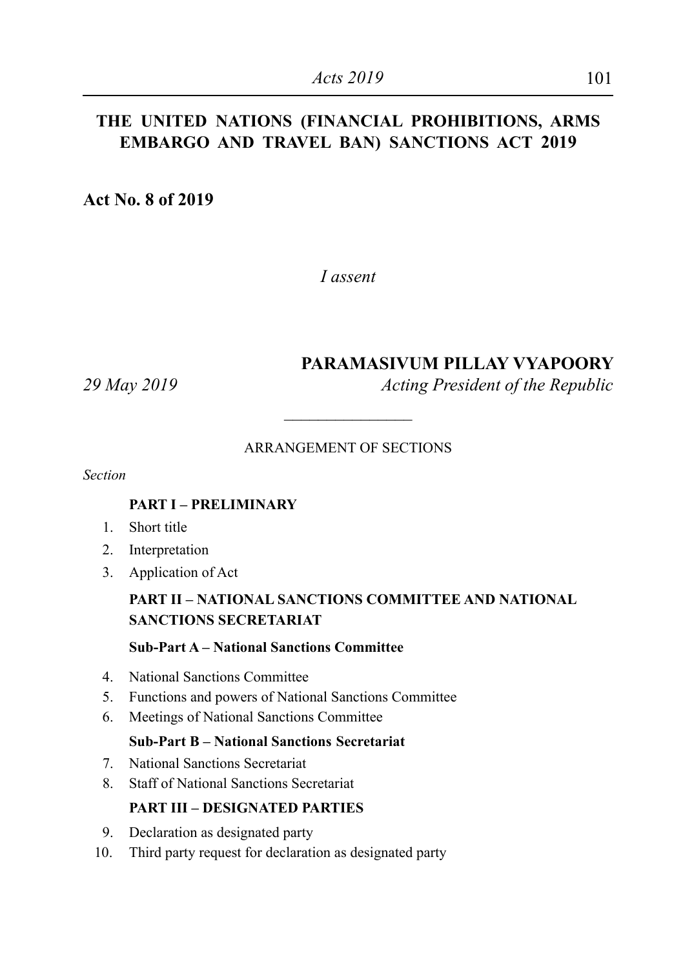#### **THE UNITED NATIONS (FINANCIAL PROHIBITIONS, ARMS EMBARGO AND TRAVEL BAN) SANCTIONS ACT 2019**

**Act No. 8 of 2019**

*I assent*

#### **PARAMASIVUM PILLAY VYAPOORY**

*29 May 2019 Acting President of the Republic*

#### ARRANGEMENT OF SECTIONS

\_\_\_\_\_\_\_\_\_\_\_\_\_\_\_

*Section*

#### **PART I – PRELIMINARY**

- 1. Short title
- 2. Interpretation
- 3. Application of Act

#### **PART II – NATIONAL SANCTIONS COMMITTEE AND NATIONAL SANCTIONS SECRETARIAT**

#### **Sub-Part A – National Sanctions Committee**

- 4. National Sanctions Committee
- 5. Functions and powers of National Sanctions Committee
- 6. Meetings of National Sanctions Committee

#### **Sub-Part B – National Sanctions Secretariat**

- 7. National Sanctions Secretariat
- 8. Staff of National Sanctions Secretariat

#### **PART III – DESIGNATED PARTIES**

- 9. Declaration as designated party
- 10. Third party request for declaration as designated party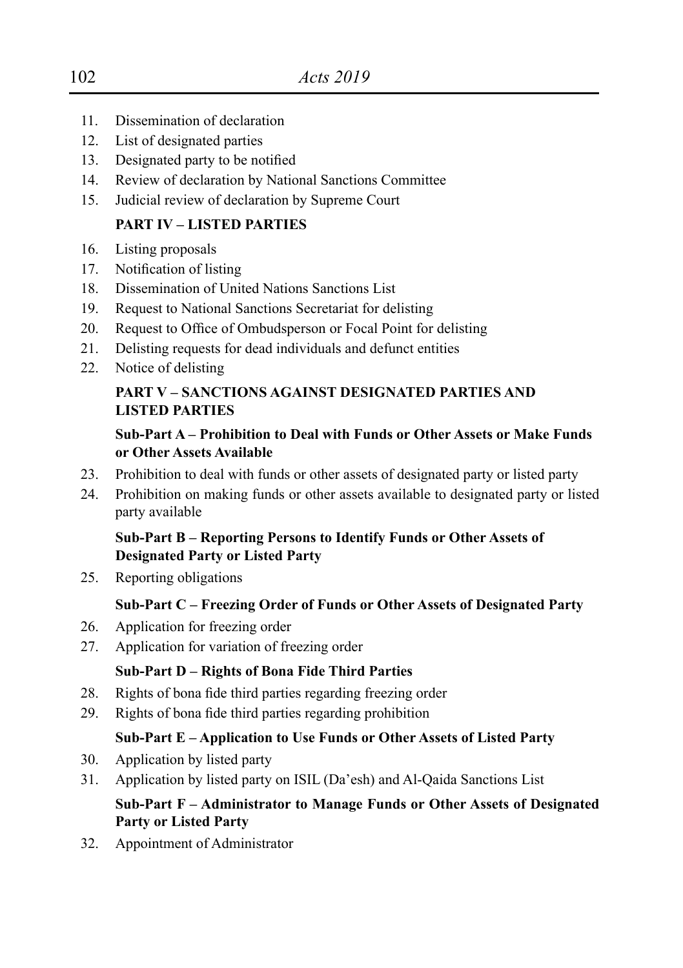- 11. Dissemination of declaration
- 12. List of designated parties
- 13. Designated party to be notified
- 14. Review of declaration by National Sanctions Committee
- 15. Judicial review of declaration by Supreme Court

#### **PART IV – LISTED PARTIES**

- 16. Listing proposals
- 17 Notification of listing
- 18. Dissemination of United Nations Sanctions List
- 19. Request to National Sanctions Secretariat for delisting
- 20. Request to Office of Ombudsperson or Focal Point for delisting
- 21. Delisting requests for dead individuals and defunct entities
- 22. Notice of delisting

#### **PART V – SANCTIONS AGAINST DESIGNATED PARTIES AND LISTED PARTIES**

#### **Sub-Part A – Prohibition to Deal with Funds or Other Assets or Make Funds or Other Assets Available**

- 23. Prohibition to deal with funds or other assets of designated party or listed party
- 24. Prohibition on making funds or other assets available to designated party or listed party available

#### **Sub-Part B – Reporting Persons to Identify Funds or Other Assets of Designated Party or Listed Party**

25. Reporting obligations

#### **Sub-Part C – Freezing Order of Funds or Other Assets of Designated Party**

- 26. Application for freezing order
- 27. Application for variation of freezing order

#### **Sub-Part D – Rights of Bona Fide Third Parties**

- 28. Rights of bona fide third parties regarding freezing order
- 29. Rights of bona fide third parties regarding prohibition

#### **Sub-Part E – Application to Use Funds or Other Assets of Listed Party**

- 30. Application by listed party
- 31. Application by listed party on ISIL (Da'esh) and Al-Qaida Sanctions List

#### **Sub-Part F – Administrator to Manage Funds or Other Assets of Designated Party or Listed Party**

32. Appointment of Administrator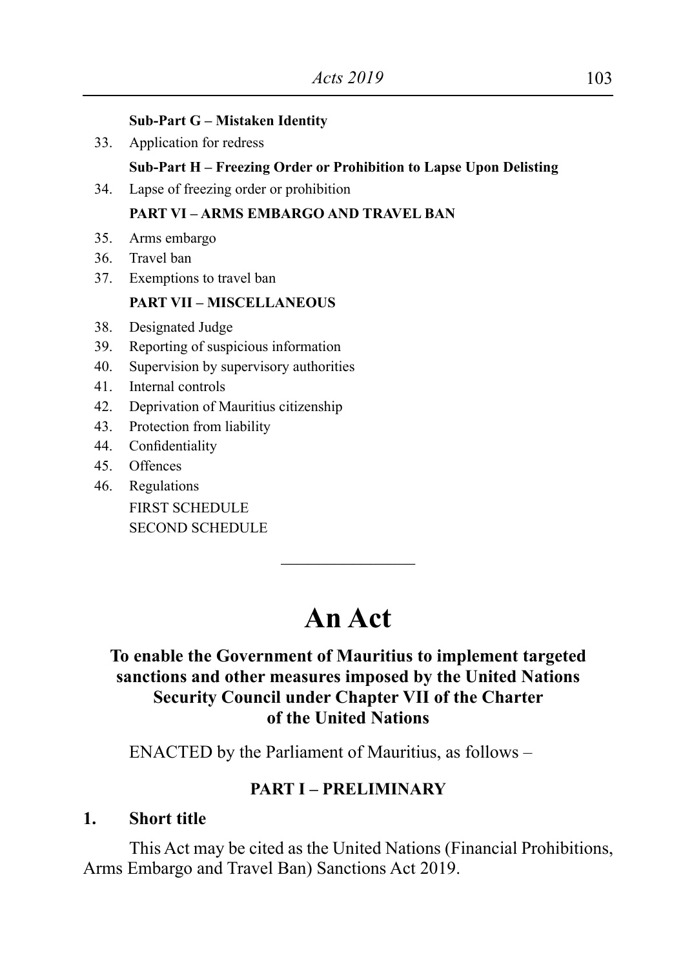#### **Sub-Part G – Mistaken Identity**

33. Application for redress

#### **Sub-Part H – Freezing Order or Prohibition to Lapse Upon Delisting**

34. Lapse of freezing order or prohibition

#### **PART VI – ARMS EMBARGO AND TRAVEL BAN**

- 35. Arms embargo
- 36. Travel ban
- 37. Exemptions to travel ban

#### **PART VII – MISCELLANEOUS**

- 38. Designated Judge
- 39. Reporting of suspicious information
- 40. Supervision by supervisory authorities
- 41. Internal controls
- 42. Deprivation of Mauritius citizenship
- 43. Protection from liability
- 44. Confidentiality
- 45. Offences
- 46. Regulations

FIRST SCHEDULE SECOND SCHEDULE

# **An Act**

 $\overline{\phantom{a}}$  , where  $\overline{\phantom{a}}$ 

#### **To enable the Government of Mauritius to implement targeted sanctions and other measures imposed by the United Nations Security Council under Chapter VII of the Charter of the United Nations**

ENACTED by the Parliament of Mauritius, as follows –

#### **PART I – PRELIMINARY**

#### **1. Short title**

 This Act may be cited as the United Nations (Financial Prohibitions, Arms Embargo and Travel Ban) Sanctions Act 2019.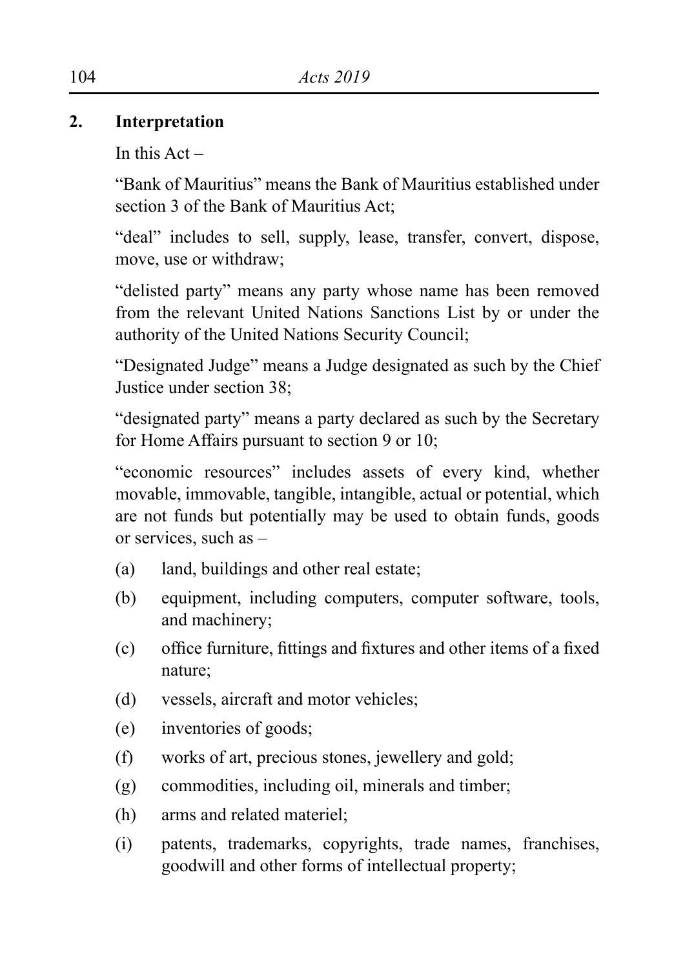#### **2. Interpretation**

In this  $Act -$ 

"Bank of Mauritius" means the Bank of Mauritius established under section 3 of the Bank of Mauritius Act;

"deal" includes to sell, supply, lease, transfer, convert, dispose, move, use or withdraw;

"delisted party" means any party whose name has been removed from the relevant United Nations Sanctions List by or under the authority of the United Nations Security Council;

"Designated Judge" means a Judge designated as such by the Chief Justice under section 38;

"designated party" means a party declared as such by the Secretary for Home Affairs pursuant to section 9 or 10;

"economic resources" includes assets of every kind, whether movable, immovable, tangible, intangible, actual or potential, which are not funds but potentially may be used to obtain funds, goods or services, such as –

- (a) land, buildings and other real estate;
- (b) equipment, including computers, computer software, tools, and machinery;
- (c) office furniture, fittings and fixtures and other items of a fixed nature;
- (d) vessels, aircraft and motor vehicles;
- (e) inventories of goods;
- (f) works of art, precious stones, jewellery and gold;
- $(g)$  commodities, including oil, minerals and timber;
- (h) arms and related materiel:
- (i) patents, trademarks, copyrights, trade names, franchises, goodwill and other forms of intellectual property;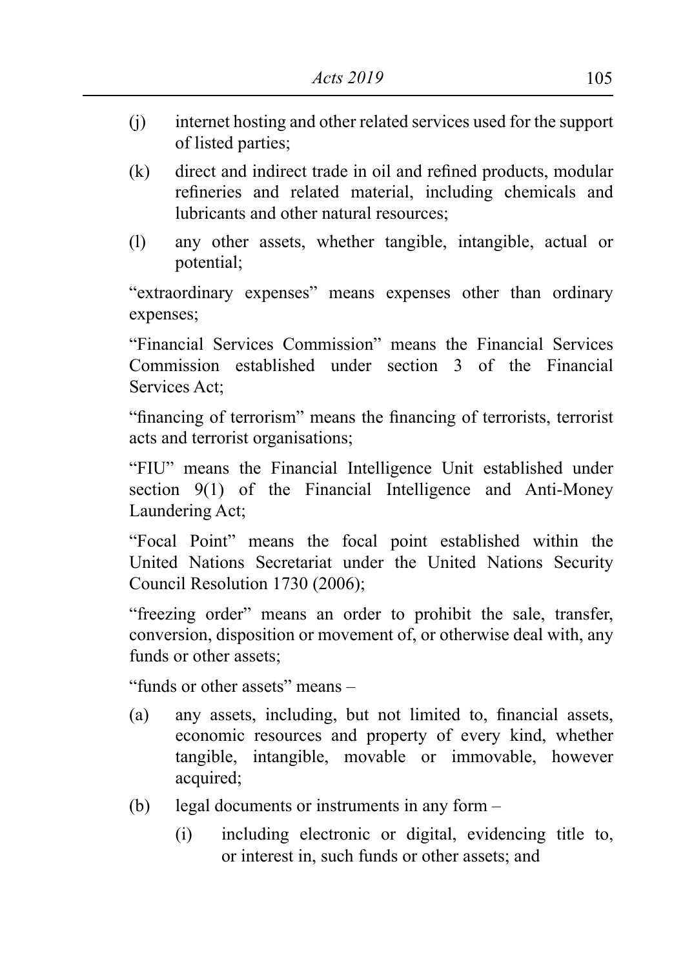- (j) internet hosting and other related services used for the support of listed parties;
- (k) direct and indirect trade in oil and refined products, modular refineries and related material, including chemicals and lubricants and other natural resources;
- (l) any other assets, whether tangible, intangible, actual or potential;

"extraordinary expenses" means expenses other than ordinary expenses;

"Financial Services Commission" means the Financial Services Commission established under section 3 of the Financial Services Act;

"financing of terrorism" means the financing of terrorists, terrorist acts and terrorist organisations;

"FIU" means the Financial Intelligence Unit established under section 9(1) of the Financial Intelligence and Anti-Money Laundering Act;

"Focal Point" means the focal point established within the United Nations Secretariat under the United Nations Security Council Resolution 1730 (2006);

"freezing order" means an order to prohibit the sale, transfer, conversion, disposition or movement of, or otherwise deal with, any funds or other assets;

"funds or other assets" means –

- (a) any assets, including, but not limited to, financial assets, economic resources and property of every kind, whether tangible, intangible, movable or immovable, however acquired;
- (b) legal documents or instruments in any form
	- (i) including electronic or digital, evidencing title to, or interest in, such funds or other assets; and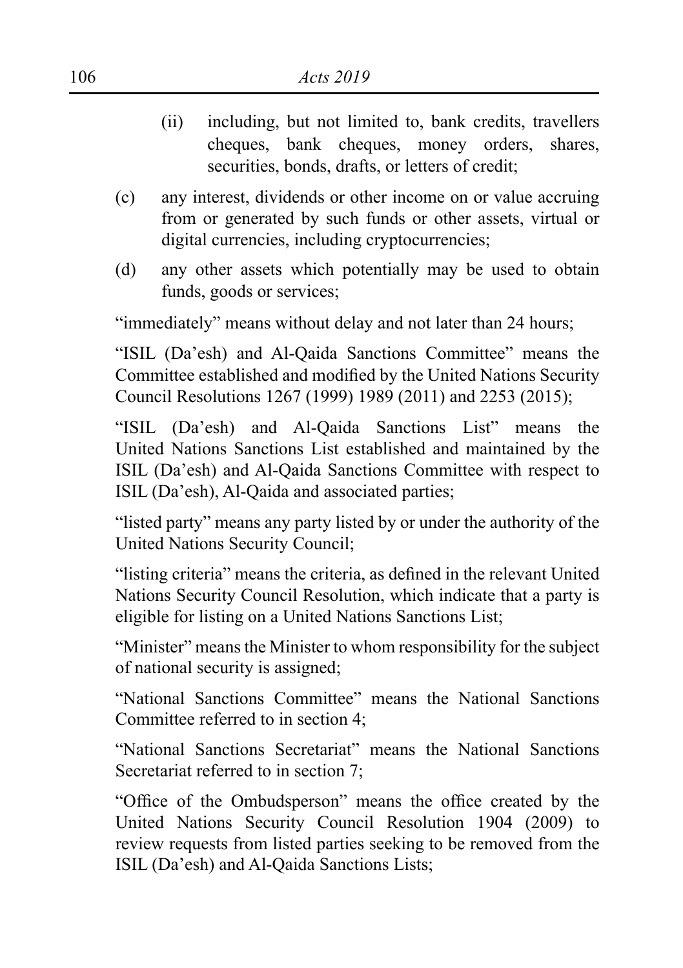- (ii) including, but not limited to, bank credits, travellers cheques, bank cheques, money orders, shares, securities, bonds, drafts, or letters of credit;
- (c) any interest, dividends or other income on or value accruing from or generated by such funds or other assets, virtual or digital currencies, including cryptocurrencies;
- (d) any other assets which potentially may be used to obtain funds, goods or services;

"immediately" means without delay and not later than 24 hours;

"ISIL (Da'esh) and Al-Qaida Sanctions Committee" means the Committee established and modified by the United Nations Security Council Resolutions 1267 (1999) 1989 (2011) and 2253 (2015);

"ISIL (Da'esh) and Al-Qaida Sanctions List" means the United Nations Sanctions List established and maintained by the ISIL (Da'esh) and Al-Qaida Sanctions Committee with respect to ISIL (Da'esh), Al-Qaida and associated parties;

"listed party" means any party listed by or under the authority of the United Nations Security Council;

"listing criteria" means the criteria, as defined in the relevant United Nations Security Council Resolution, which indicate that a party is eligible for listing on a United Nations Sanctions List;

"Minister" meansthe Minister to whom responsibility for the subject of national security is assigned;

"National Sanctions Committee" means the National Sanctions Committee referred to in section 4;

"National Sanctions Secretariat" means the National Sanctions Secretariat referred to in section 7;

"Office of the Ombudsperson" means the office created by the United Nations Security Council Resolution 1904 (2009) to review requests from listed parties seeking to be removed from the ISIL (Da'esh) and Al-Qaida Sanctions Lists;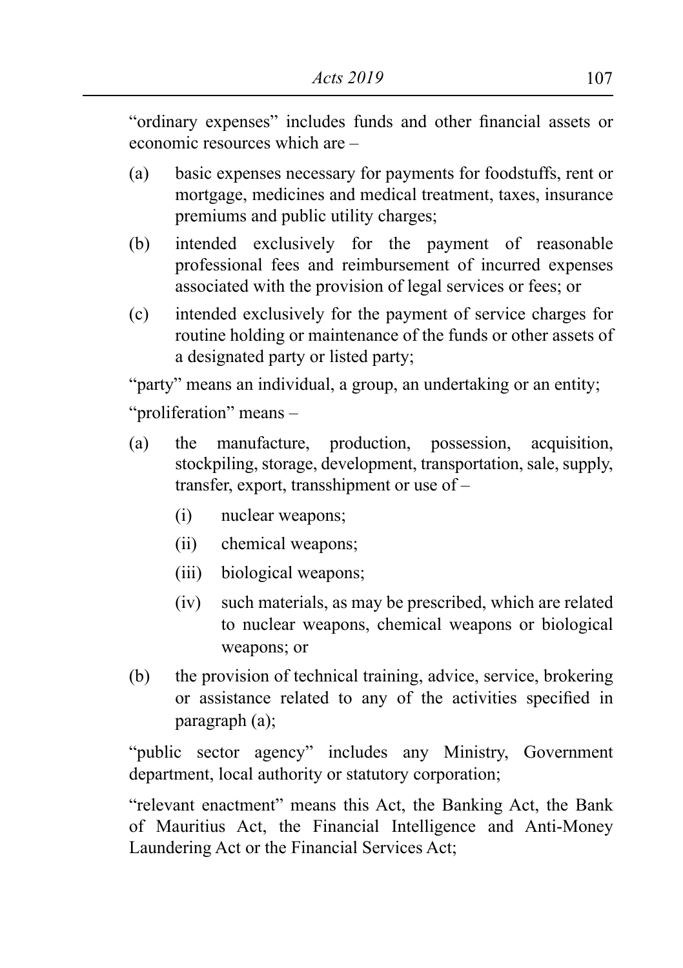"ordinary expenses" includes funds and other financial assets or economic resources which are –

- (a) basic expenses necessary for payments for foodstuffs, rent or mortgage, medicines and medical treatment, taxes, insurance premiums and public utility charges;
- (b) intended exclusively for the payment of reasonable professional fees and reimbursement of incurred expenses associated with the provision of legal services or fees; or
- (c) intended exclusively for the payment of service charges for routine holding or maintenance of the funds or other assets of a designated party or listed party;

"party" means an individual, a group, an undertaking or an entity;

"proliferation" means –

- (a) the manufacture, production, possession, acquisition, stockpiling, storage, development, transportation, sale, supply, transfer, export, transshipment or use of –
	- (i) nuclear weapons;
	- (ii) chemical weapons;
	- (iii) biological weapons;
	- (iv) such materials, as may be prescribed, which are related to nuclear weapons, chemical weapons or biological weapons; or
- (b) the provision of technical training, advice, service, brokering or assistance related to any of the activities specified in paragraph (a);

"public sector agency" includes any Ministry, Government department, local authority or statutory corporation;

"relevant enactment" means this Act, the Banking Act, the Bank of Mauritius Act, the Financial Intelligence and Anti-Money Laundering Act or the Financial Services Act;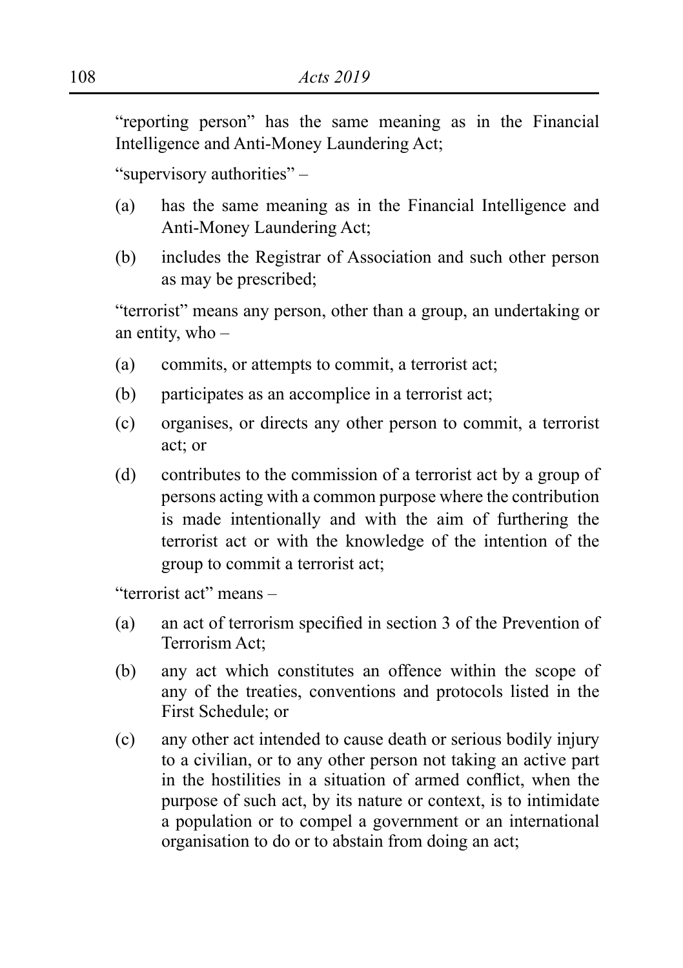"reporting person" has the same meaning as in the Financial Intelligence and Anti-Money Laundering Act;

"supervisory authorities" –

- (a) has the same meaning as in the Financial Intelligence and Anti-Money Laundering Act;
- (b) includes the Registrar of Association and such other person as may be prescribed;

"terrorist" means any person, other than a group, an undertaking or an entity, who –

- (a) commits, or attempts to commit, a terrorist act;
- (b) participates as an accomplice in a terrorist act;
- (c) organises, or directs any other person to commit, a terrorist act; or
- (d) contributes to the commission of a terrorist act by a group of persons acting with a common purpose where the contribution is made intentionally and with the aim of furthering the terrorist act or with the knowledge of the intention of the group to commit a terrorist act;

"terrorist act" means –

- (a) an act of terrorism specified in section 3 of the Prevention of Terrorism Act;
- (b) any act which constitutes an offence within the scope of any of the treaties, conventions and protocols listed in the First Schedule; or
- (c) any other act intended to cause death or serious bodily injury to a civilian, or to any other person not taking an active part in the hostilities in a situation of armed conflict, when the purpose of such act, by its nature or context, is to intimidate a population or to compel a government or an international organisation to do or to abstain from doing an act;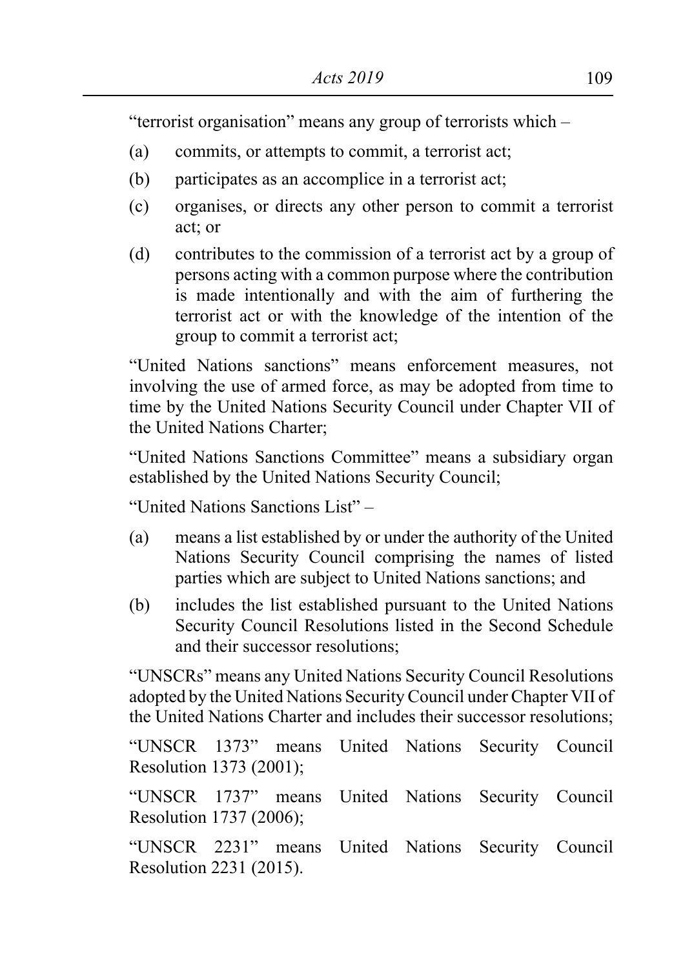"terrorist organisation" means any group of terrorists which –

- (a) commits, or attempts to commit, a terrorist act;
- (b) participates as an accomplice in a terrorist act;
- (c) organises, or directs any other person to commit a terrorist act; or
- (d) contributes to the commission of a terrorist act by a group of persons acting with a common purpose where the contribution is made intentionally and with the aim of furthering the terrorist act or with the knowledge of the intention of the group to commit a terrorist act;

"United Nations sanctions" means enforcement measures, not involving the use of armed force, as may be adopted from time to time by the United Nations Security Council under Chapter VII of the United Nations Charter;

"United Nations Sanctions Committee" means a subsidiary organ established by the United Nations Security Council;

"United Nations Sanctions List" –

- (a) means a list established by or under the authority of the United Nations Security Council comprising the names of listed parties which are subject to United Nations sanctions; and
- (b) includes the list established pursuant to the United Nations Security Council Resolutions listed in the Second Schedule and their successor resolutions:

"UNSCRs" means any United Nations Security Council Resolutions adopted by the United Nations Security Council under Chapter VII of the United Nations Charter and includes their successor resolutions;

"UNSCR 1373" means United Nations Security Council Resolution 1373 (2001);

"UNSCR 1737" means United Nations Security Council Resolution 1737 (2006);

"UNSCR 2231" means United Nations Security Council Resolution 2231 (2015).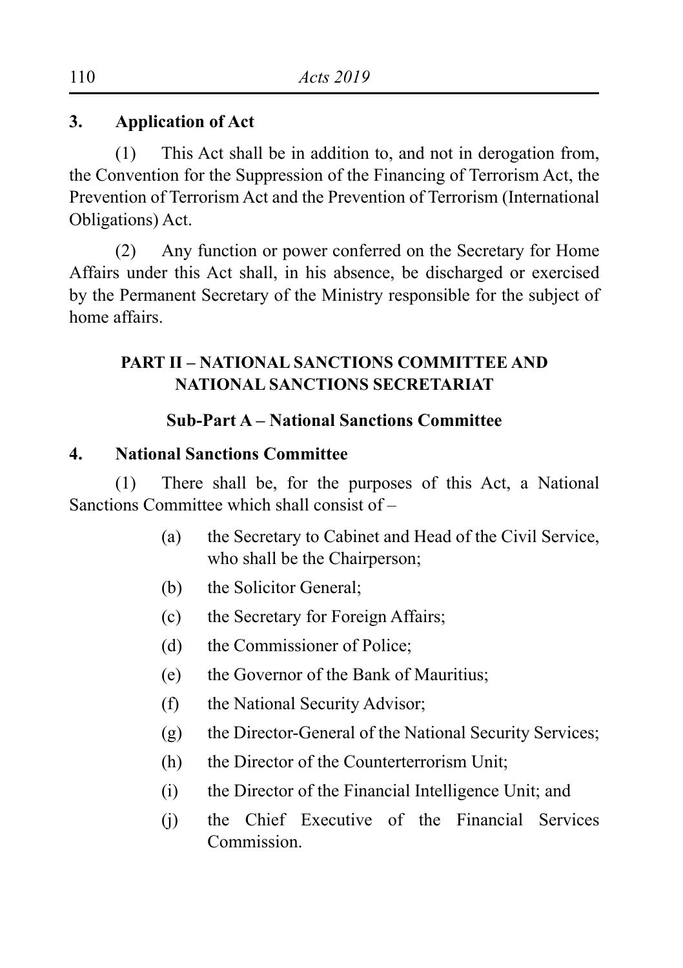### **3. Application of Act**

 $(1)$  This Act shall be in addition to, and not in derogation from, the Convention for the Suppression of the Financing of Terrorism Act, the Prevention of Terrorism Act and the Prevention of Terrorism (International Obligations) Act.

(2) Any function or power conferred on the Secretary for Home Affairs under this Act shall, in his absence, be discharged or exercised by the Permanent Secretary of the Ministry responsible for the subject of home affairs.

## **PART II – NATIONAL SANCTIONS COMMITTEE AND NATIONAL SANCTIONS SECRETARIAT**

## **Sub-Part A – National Sanctions Committee**

## **4. National Sanctions Committee**

 (1) There shall be, for the purposes of this Act, a National Sanctions Committee which shall consist of –

- (a) the Secretary to Cabinet and Head of the Civil Service, who shall be the Chairperson;
- (b) the Solicitor General;
- (c) the Secretary for Foreign Affairs;
- (d) the Commissioner of Police:
- (e) the Governor of the Bank of Mauritius;
- (f) the National Security Advisor;
- (g) the Director-General of the National Security Services;
- (h) the Director of the Counterterrorism Unit;
- (i) the Director of the Financial Intelligence Unit; and
- (j) the Chief Executive of the Financial Services Commission.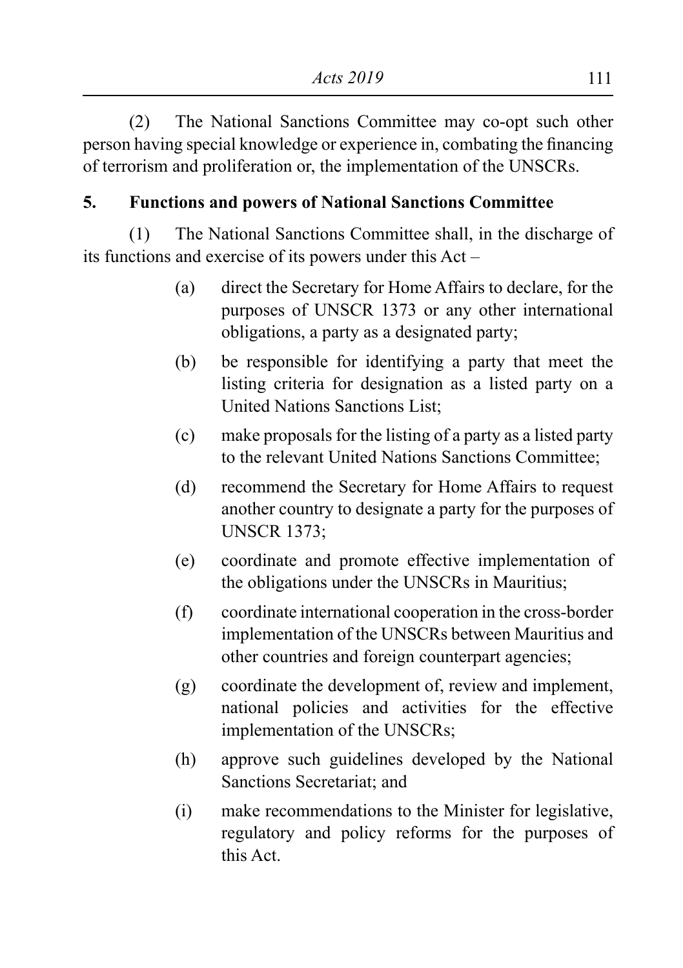(2) The National Sanctions Committee may co-opt such other person having special knowledge or experience in, combating the financing of terrorism and proliferation or, the implementation of the UNSCRs.

### **5. Functions and powers of National Sanctions Committee**

(1) The National Sanctions Committee shall, in the discharge of its functions and exercise of its powers under this Act –

- (a) direct the Secretary for Home Affairs to declare, for the purposes of UNSCR 1373 or any other international obligations, a party as a designated party;
- (b) be responsible for identifying a party that meet the listing criteria for designation as a listed party on a United Nations Sanctions List;
- (c) make proposals for the listing of a party as a listed party to the relevant United Nations Sanctions Committee;
- (d) recommend the Secretary for Home Affairs to request another country to designate a party for the purposes of UNSCR 1373;
- (e) coordinate and promote effective implementation of the obligations under the UNSCRs in Mauritius;
- (f) coordinate international cooperation in the cross-border implementation of the UNSCRs between Mauritius and other countries and foreign counterpart agencies;
- (g) coordinate the development of, review and implement, national policies and activities for the effective implementation of the UNSCRs;
- (h) approve such guidelines developed by the National Sanctions Secretariat; and
- (i) make recommendations to the Minister for legislative, regulatory and policy reforms for the purposes of this Act.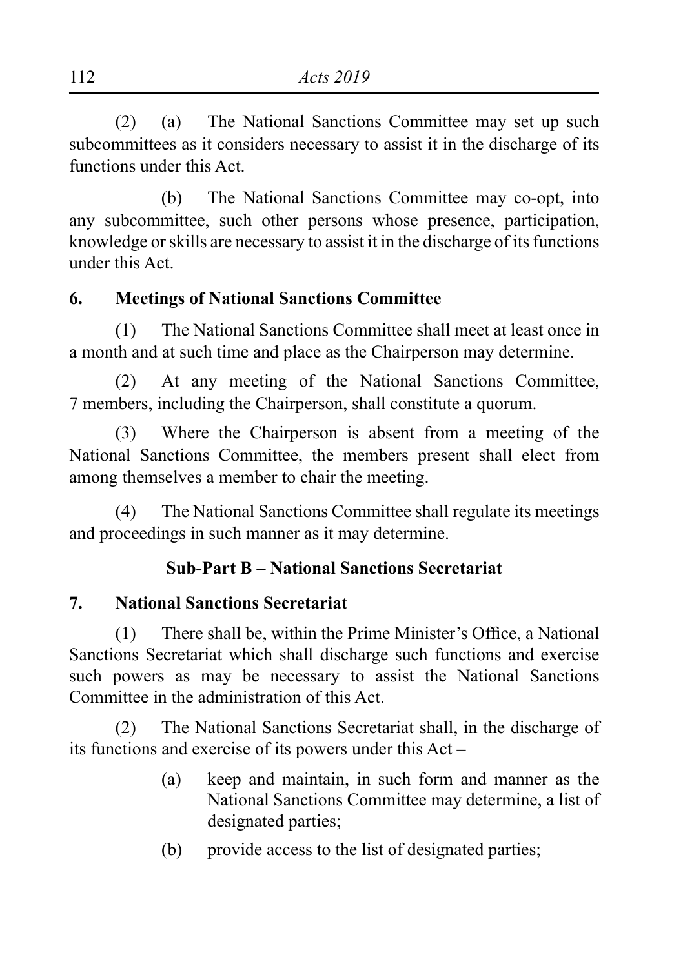(2) (a) The National Sanctions Committee may set up such subcommittees as it considers necessary to assist it in the discharge of its functions under this Act.

 (b) The National Sanctions Committee may co-opt, into any subcommittee, such other persons whose presence, participation, knowledge or skills are necessary to assist it in the discharge of its functions under this Act.

### **6. Meetings of National Sanctions Committee**

(1) The National Sanctions Committee shall meet at least once in a month and at such time and place as the Chairperson may determine.

(2) At any meeting of the National Sanctions Committee, 7 members, including the Chairperson, shall constitute a quorum.

(3) Where the Chairperson is absent from a meeting of the National Sanctions Committee, the members present shall elect from among themselves a member to chair the meeting.

(4) The National Sanctions Committee shall regulate its meetings and proceedings in such manner as it may determine.

#### **Sub-Part B – National Sanctions Secretariat**

#### **7. National Sanctions Secretariat**

(1) There shall be, within the Prime Minister's Office, a National Sanctions Secretariat which shall discharge such functions and exercise such powers as may be necessary to assist the National Sanctions Committee in the administration of this Act.

(2) The National Sanctions Secretariat shall, in the discharge of its functions and exercise of its powers under this Act –

- (a) keep and maintain, in such form and manner as the National Sanctions Committee may determine, a list of designated parties;
- (b) provide access to the list of designated parties;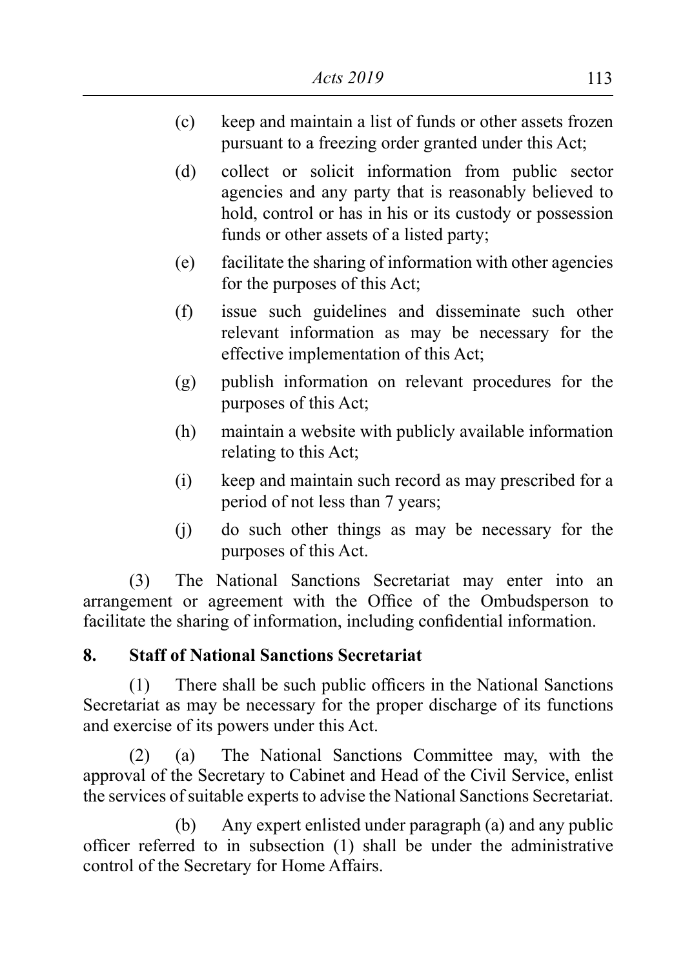- (c) keep and maintain a list of funds or other assets frozen pursuant to a freezing order granted under this Act;
- (d) collect or solicit information from public sector agencies and any party that is reasonably believed to hold, control or has in his or its custody or possession funds or other assets of a listed party;
- (e) facilitate the sharing of information with other agencies for the purposes of this Act;
- (f) issue such guidelines and disseminate such other relevant information as may be necessary for the effective implementation of this Act;
- (g) publish information on relevant procedures for the purposes of this Act;
- (h) maintain a website with publicly available information relating to this Act;
- (i) keep and maintain such record as may prescribed for a period of not less than 7 years;
- (j) do such other things as may be necessary for the purposes of this Act.

(3) The National Sanctions Secretariat may enter into an arrangement or agreement with the Office of the Ombudsperson to facilitate the sharing of information, including confidential information.

### **8. Staff of National Sanctions Secretariat**

(1) There shall be such public officers in the National Sanctions Secretariat as may be necessary for the proper discharge of its functions and exercise of its powers under this Act.

(2) (a) The National Sanctions Committee may, with the approval of the Secretary to Cabinet and Head of the Civil Service, enlist the services of suitable experts to advise the National Sanctions Secretariat.

(b) Any expert enlisted under paragraph (a) and any public officer referred to in subsection (1) shall be under the administrative control of the Secretary for Home Affairs.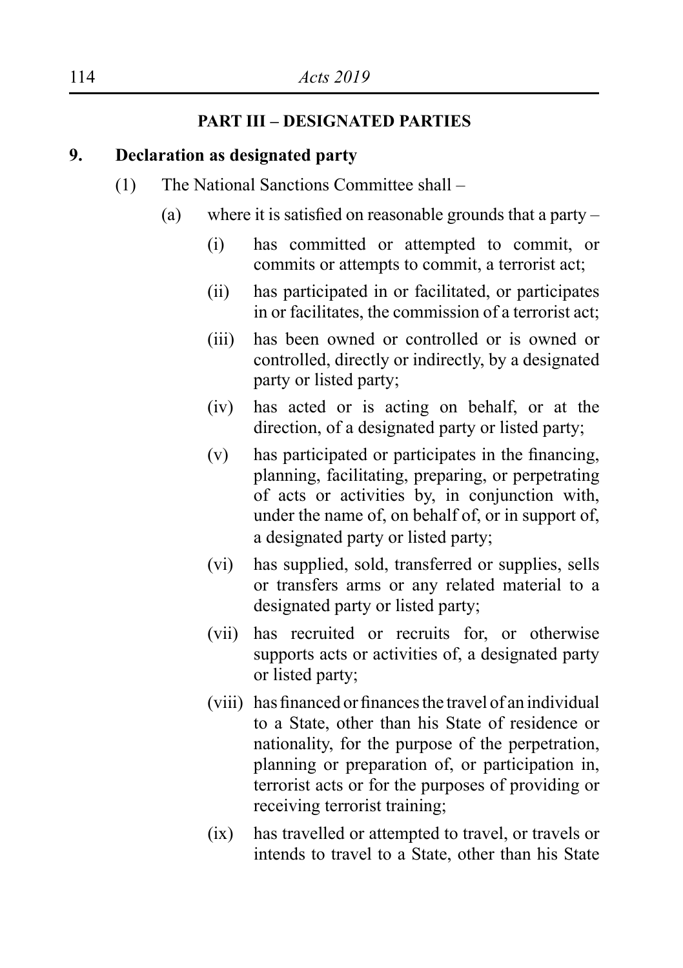#### **PART III – DESIGNATED PARTIES**

#### **9. Declaration as designated party**

- $(1)$  The National Sanctions Committee shall
	- (a) where it is satisfied on reasonable grounds that a party  $-$ 
		- (i) has committed or attempted to commit, or commits or attempts to commit, a terrorist act;
		- (ii) has participated in or facilitated, or participates in or facilitates, the commission of a terrorist act;
		- (iii) has been owned or controlled or is owned or controlled, directly or indirectly, by a designated party or listed party;
		- (iv) has acted or is acting on behalf, or at the direction, of a designated party or listed party;
		- (v) has participated or participates in the financing, planning, facilitating, preparing, or perpetrating of acts or activities by, in conjunction with, under the name of, on behalf of, or in support of, a designated party or listed party;
		- (vi) has supplied, sold, transferred or supplies, sells or transfers arms or any related material to a designated party or listed party;
		- (vii) has recruited or recruits for, or otherwise supports acts or activities of, a designated party or listed party;
		- (viii) has financed or finances the travel of an individual to a State, other than his State of residence or nationality, for the purpose of the perpetration, planning or preparation of, or participation in, terrorist acts or for the purposes of providing or receiving terrorist training;
		- (ix) has travelled or attempted to travel, or travels or intends to travel to a State, other than his State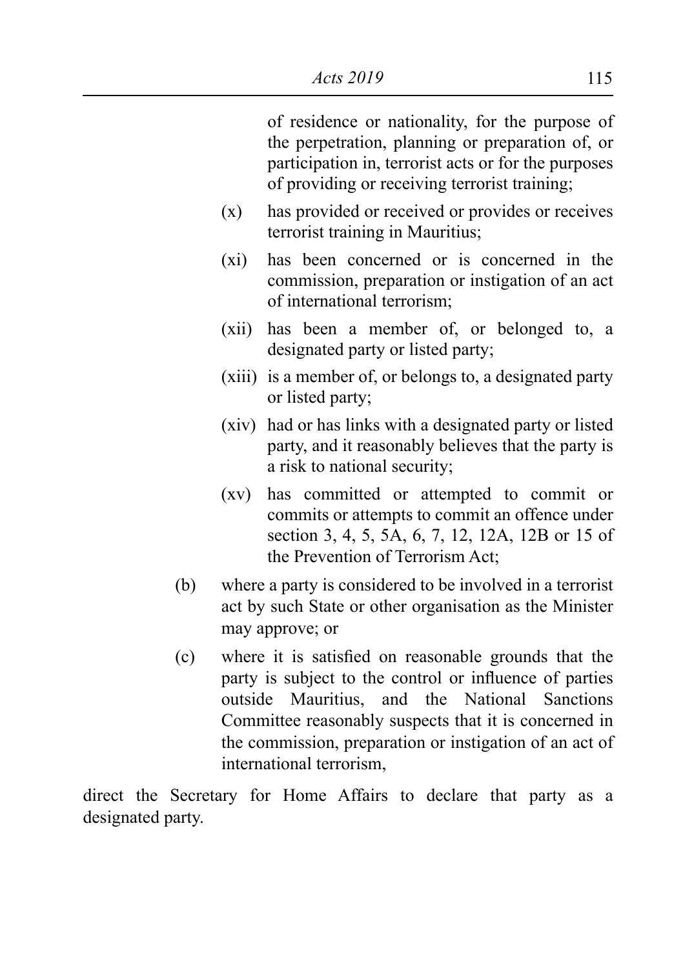of residence or nationality, for the purpose of the perpetration, planning or preparation of, or participation in, terrorist acts or for the purposes of providing or receiving terrorist training;

- (x) has provided or received or provides or receives terrorist training in Mauritius;
- (xi) has been concerned or is concerned in the commission, preparation or instigation of an act of international terrorism;
- (xii) has been a member of, or belonged to, a designated party or listed party;
- (xiii) is a member of, or belongs to, a designated party or listed party;
- (xiv) had or has links with a designated party or listed party, and it reasonably believes that the party is a risk to national security;
- (xv) has committed or attempted to commit or commits or attempts to commit an offence under section 3, 4, 5, 5A, 6, 7, 12, 12A, 12B or 15 of the Prevention of Terrorism Act;
- (b) where a party is considered to be involved in a terrorist act by such State or other organisation as the Minister may approve; or
- (c) where it is satisfied on reasonable grounds that the party is subject to the control or influence of parties outside Mauritius, and the National Sanctions Committee reasonably suspects that it is concerned in the commission, preparation or instigation of an act of international terrorism,

direct the Secretary for Home Affairs to declare that party as a designated party.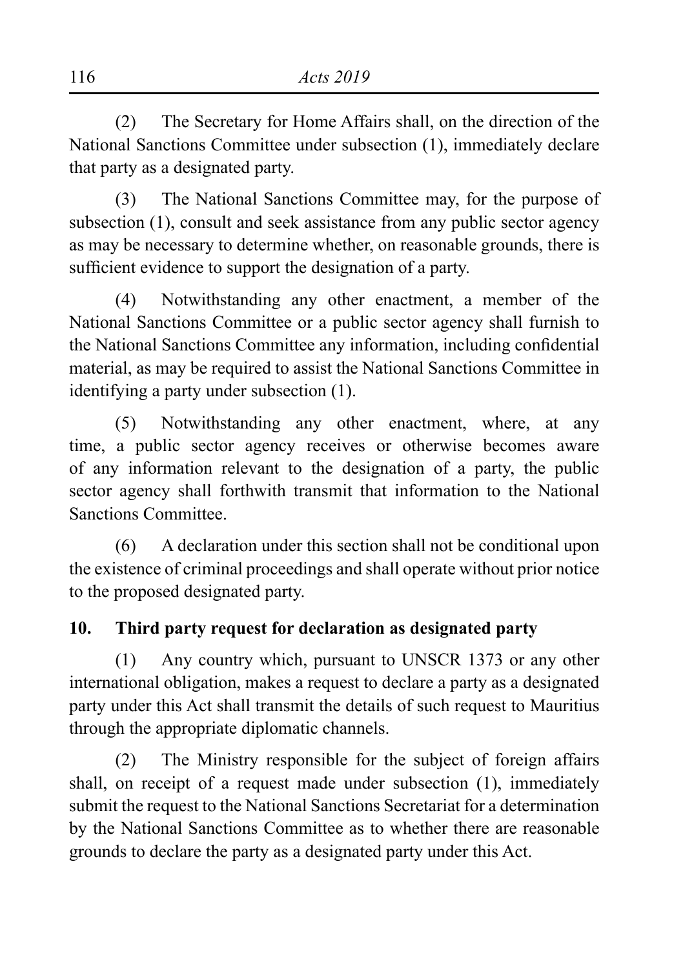(2) The Secretary for Home Affairs shall, on the direction of the National Sanctions Committee under subsection (1), immediately declare that party as a designated party.

(3) The National Sanctions Committee may, for the purpose of subsection (1), consult and seek assistance from any public sector agency as may be necessary to determine whether, on reasonable grounds, there is sufficient evidence to support the designation of a party.

(4) Notwithstanding any other enactment, a member of the National Sanctions Committee or a public sector agency shall furnish to the National Sanctions Committee any information, including confidential material, as may be required to assist the National Sanctions Committee in identifying a party under subsection (1).

(5) Notwithstanding any other enactment, where, at any time, a public sector agency receives or otherwise becomes aware of any information relevant to the designation of a party, the public sector agency shall forthwith transmit that information to the National Sanctions Committee.

(6) A declaration under this section shall not be conditional upon the existence of criminal proceedings and shall operate without prior notice to the proposed designated party.

## **10. Third party request for declaration as designated party**

(1) Any country which, pursuant to UNSCR 1373 or any other international obligation, makes a request to declare a party as a designated party under this Act shall transmit the details of such request to Mauritius through the appropriate diplomatic channels.

(2) The Ministry responsible for the subject of foreign affairs shall, on receipt of a request made under subsection (1), immediately submit the request to the National Sanctions Secretariat for a determination by the National Sanctions Committee as to whether there are reasonable grounds to declare the party as a designated party under this Act.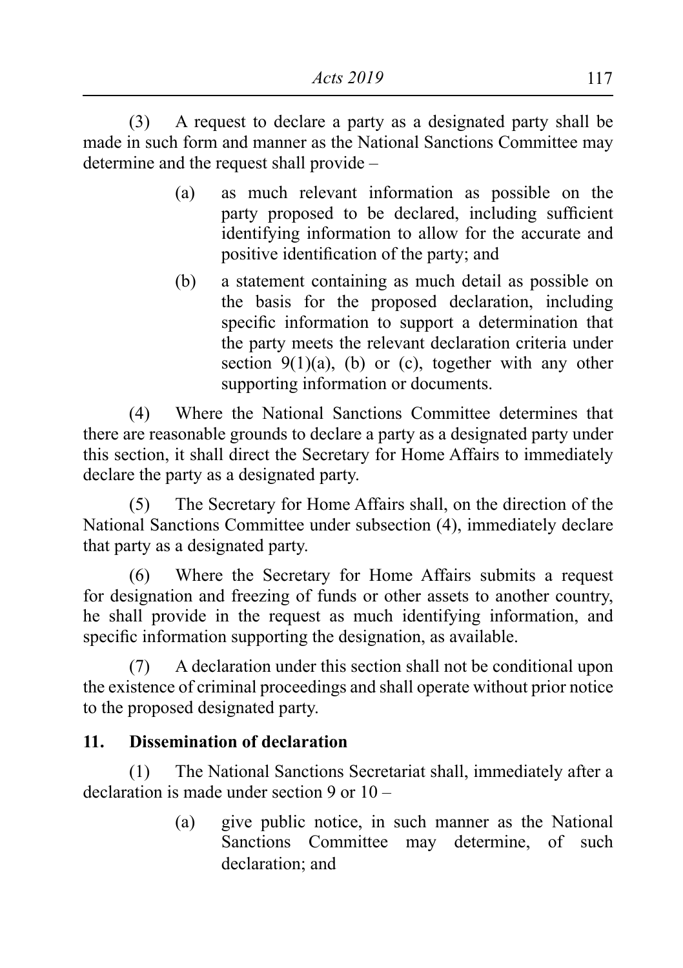(3) A request to declare a party as a designated party shall be made in such form and manner as the National Sanctions Committee may determine and the request shall provide –

- (a) as much relevant information as possible on the party proposed to be declared, including sufficient identifying information to allow for the accurate and positive identification of the party; and
- (b) a statement containing as much detail as possible on the basis for the proposed declaration, including specific information to support a determination that the party meets the relevant declaration criteria under section  $9(1)(a)$ , (b) or (c), together with any other supporting information or documents.

(4) Where the National Sanctions Committee determines that there are reasonable grounds to declare a party as a designated party under this section, it shall direct the Secretary for Home Affairs to immediately declare the party as a designated party.

(5) The Secretary for Home Affairs shall, on the direction of the National Sanctions Committee under subsection (4), immediately declare that party as a designated party.

(6) Where the Secretary for Home Affairs submits a request for designation and freezing of funds or other assets to another country, he shall provide in the request as much identifying information, and specific information supporting the designation, as available.

(7) A declaration under this section shall not be conditional upon the existence of criminal proceedings and shall operate without prior notice to the proposed designated party.

### **11. Dissemination of declaration**

(1) The National Sanctions Secretariat shall, immediately after a declaration is made under section 9 or 10 –

> (a) give public notice, in such manner as the National Sanctions Committee may determine, of such declaration; and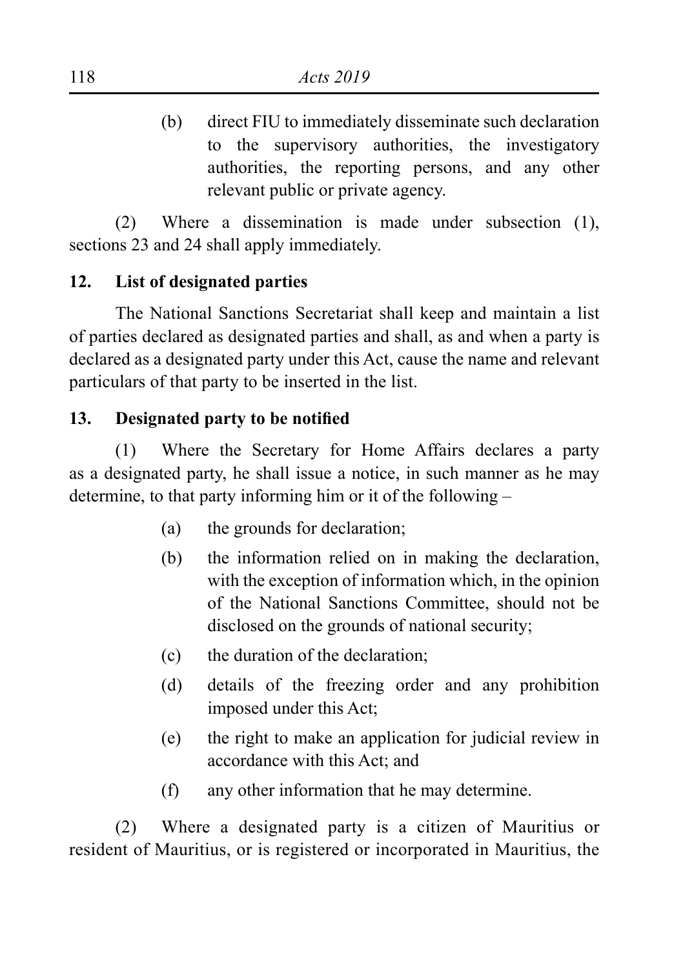(b) direct FIU to immediately disseminate such declaration to the supervisory authorities, the investigatory authorities, the reporting persons, and any other relevant public or private agency.

(2) Where a dissemination is made under subsection (1), sections 23 and 24 shall apply immediately.

## **12. List of designated parties**

The National Sanctions Secretariat shall keep and maintain a list of parties declared as designated parties and shall, as and when a party is declared as a designated party under this Act, cause the name and relevant particulars of that party to be inserted in the list.

## **13. Designated party to be notified**

(1) Where the Secretary for Home Affairs declares a party as a designated party, he shall issue a notice, in such manner as he may determine, to that party informing him or it of the following –

- (a) the grounds for declaration;
- (b) the information relied on in making the declaration, with the exception of information which, in the opinion of the National Sanctions Committee, should not be disclosed on the grounds of national security;
- (c) the duration of the declaration;
- (d) details of the freezing order and any prohibition imposed under this Act;
- (e) the right to make an application for judicial review in accordance with this Act; and
- (f) any other information that he may determine.

(2) Where a designated party is a citizen of Mauritius or resident of Mauritius, or is registered or incorporated in Mauritius, the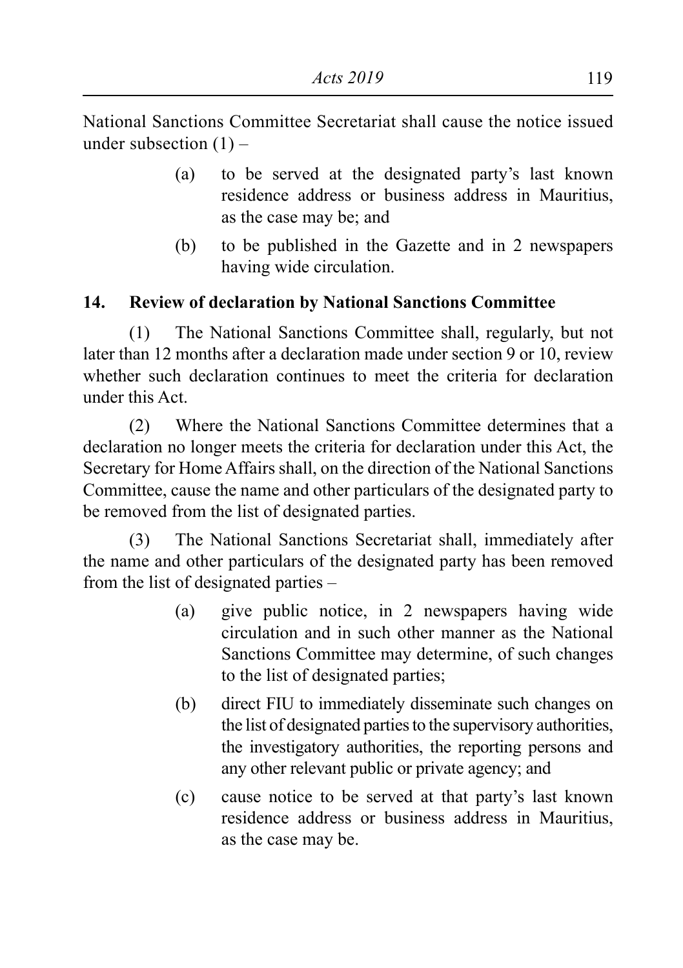National Sanctions Committee Secretariat shall cause the notice issued under subsection  $(1)$  –

- (a) to be served at the designated party's last known residence address or business address in Mauritius, as the case may be; and
- (b) to be published in the Gazette and in 2 newspapers having wide circulation.

## **14. Review of declaration by National Sanctions Committee**

 (1) The National Sanctions Committee shall, regularly, but not later than 12 months after a declaration made under section 9 or 10, review whether such declaration continues to meet the criteria for declaration under this Act.

(2) Where the National Sanctions Committee determines that a declaration no longer meets the criteria for declaration under this Act, the Secretary for Home Affairs shall, on the direction of the National Sanctions Committee, cause the name and other particulars of the designated party to be removed from the list of designated parties.

 (3) The National Sanctions Secretariat shall, immediately after the name and other particulars of the designated party has been removed from the list of designated parties –

- (a) give public notice, in 2 newspapers having wide circulation and in such other manner as the National Sanctions Committee may determine, of such changes to the list of designated parties;
- (b) direct FIU to immediately disseminate such changes on the list of designated parties to the supervisory authorities, the investigatory authorities, the reporting persons and any other relevant public or private agency; and
- (c) cause notice to be served at that party's last known residence address or business address in Mauritius, as the case may be.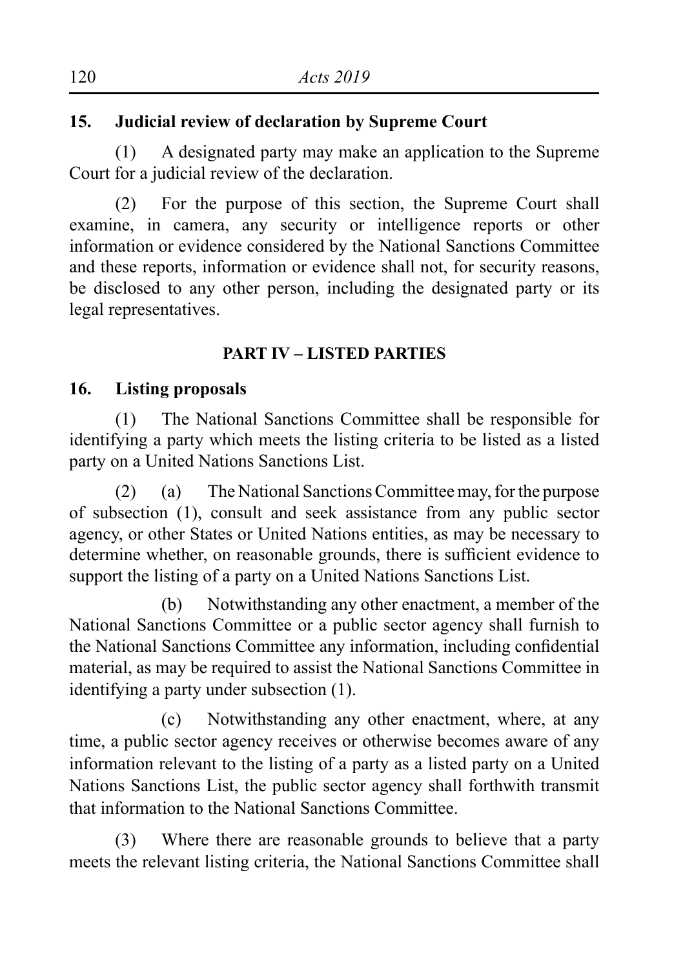## **15. Judicial review of declaration by Supreme Court**

 (1) A designated party may make an application to the Supreme Court for a judicial review of the declaration.

(2) For the purpose of this section, the Supreme Court shall examine, in camera, any security or intelligence reports or other information or evidence considered by the National Sanctions Committee and these reports, information or evidence shall not, for security reasons, be disclosed to any other person, including the designated party or its legal representatives.

## **PART IV – LISTED PARTIES**

#### **16. Listing proposals**

(1) The National Sanctions Committee shall be responsible for identifying a party which meets the listing criteria to be listed as a listed party on a United Nations Sanctions List.

(2)  $(a)$  The National Sanctions Committee may, for the purpose of subsection (1), consult and seek assistance from any public sector agency, or other States or United Nations entities, as may be necessary to determine whether, on reasonable grounds, there is sufficient evidence to support the listing of a party on a United Nations Sanctions List.

 (b) Notwithstanding any other enactment, a member of the National Sanctions Committee or a public sector agency shall furnish to the National Sanctions Committee any information, including confidential material, as may be required to assist the National Sanctions Committee in identifying a party under subsection (1).

 (c) Notwithstanding any other enactment, where, at any time, a public sector agency receives or otherwise becomes aware of any information relevant to the listing of a party as a listed party on a United Nations Sanctions List, the public sector agency shall forthwith transmit that information to the National Sanctions Committee.

(3) Where there are reasonable grounds to believe that a party meets the relevant listing criteria, the National Sanctions Committee shall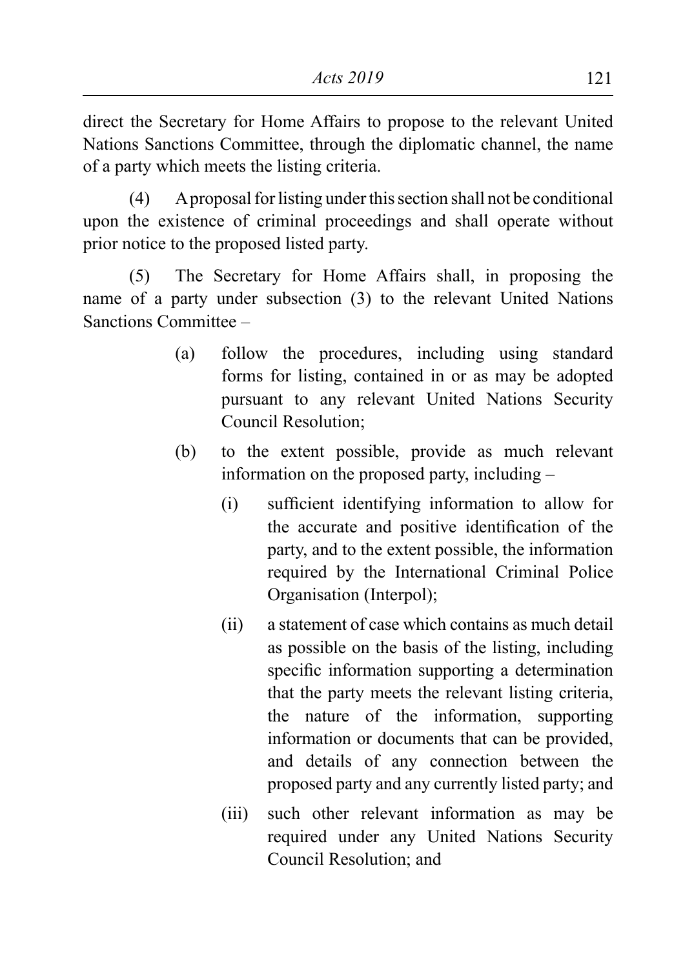direct the Secretary for Home Affairs to propose to the relevant United Nations Sanctions Committee, through the diplomatic channel, the name of a party which meets the listing criteria.

(4) A proposal for listing under this section shall not be conditional upon the existence of criminal proceedings and shall operate without prior notice to the proposed listed party.

 (5) The Secretary for Home Affairs shall, in proposing the name of a party under subsection (3) to the relevant United Nations Sanctions Committee –

- (a) follow the procedures, including using standard forms for listing, contained in or as may be adopted pursuant to any relevant United Nations Security Council Resolution;
- (b) to the extent possible, provide as much relevant information on the proposed party, including –
	- (i) sufficient identifying information to allow for the accurate and positive identification of the party, and to the extent possible, the information required by the International Criminal Police Organisation (Interpol);
	- (ii) a statement of case which contains as much detail as possible on the basis of the listing, including specific information supporting a determination that the party meets the relevant listing criteria, the nature of the information, supporting information or documents that can be provided, and details of any connection between the proposed party and any currently listed party; and
	- (iii) such other relevant information as may be required under any United Nations Security Council Resolution; and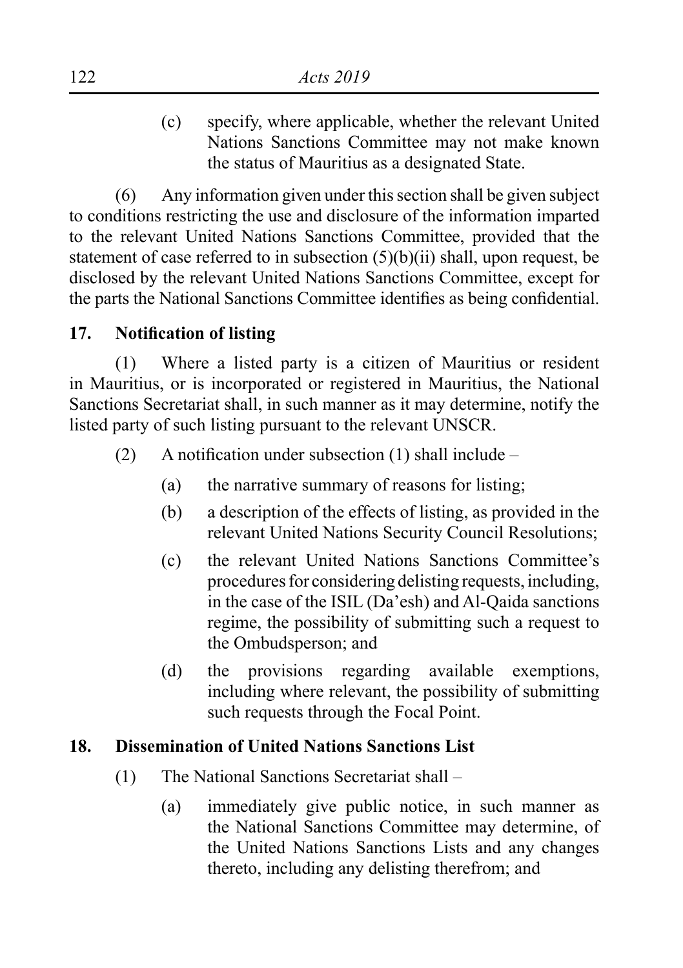(c) specify, where applicable, whether the relevant United Nations Sanctions Committee may not make known the status of Mauritius as a designated State.

 $(6)$  Any information given under this section shall be given subject to conditions restricting the use and disclosure of the information imparted to the relevant United Nations Sanctions Committee, provided that the statement of case referred to in subsection  $(5)(b)(ii)$  shall, upon request, be disclosed by the relevant United Nations Sanctions Committee, except for the parts the National Sanctions Committee identifies as being confidential.

## **17. Notification of listing**

(1) Where a listed party is a citizen of Mauritius or resident in Mauritius, or is incorporated or registered in Mauritius, the National Sanctions Secretariat shall, in such manner as it may determine, notify the listed party of such listing pursuant to the relevant UNSCR.

- (2) A notification under subsection  $(1)$  shall include
	- (a) the narrative summary of reasons for listing:
	- (b) a description of the effects of listing, as provided in the relevant United Nations Security Council Resolutions;
	- (c) the relevant United Nations Sanctions Committee's procedures for considering delisting requests, including, in the case of the ISIL (Da'esh) and Al-Qaida sanctions regime, the possibility of submitting such a request to the Ombudsperson; and
	- (d) the provisions regarding available exemptions, including where relevant, the possibility of submitting such requests through the Focal Point.

### **18. Dissemination of United Nations Sanctions List**

- (1) The National Sanctions Secretariat shall
	- (a) immediately give public notice, in such manner as the National Sanctions Committee may determine, of the United Nations Sanctions Lists and any changes thereto, including any delisting therefrom; and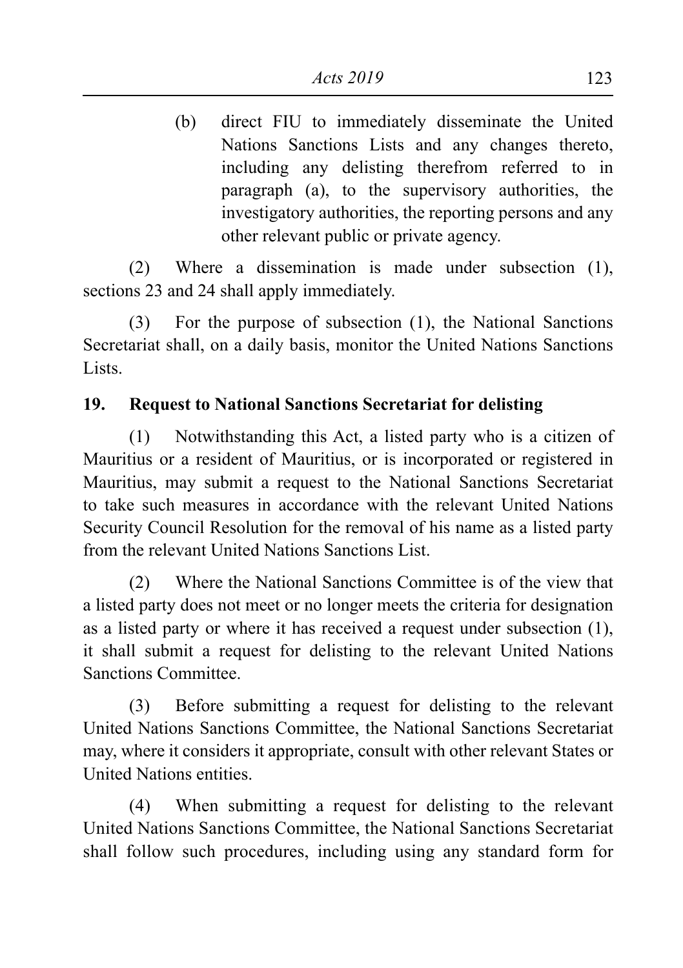(b) direct FIU to immediately disseminate the United Nations Sanctions Lists and any changes thereto, including any delisting therefrom referred to in paragraph (a), to the supervisory authorities, the investigatory authorities, the reporting persons and any other relevant public or private agency.

(2) Where a dissemination is made under subsection  $(1)$ sections 23 and 24 shall apply immediately.

(3) For the purpose of subsection (1), the National Sanctions Secretariat shall, on a daily basis, monitor the United Nations Sanctions Lists.

### **19. Request to National Sanctions Secretariat for delisting**

 (1) Notwithstanding this Act, a listed party who is a citizen of Mauritius or a resident of Mauritius, or is incorporated or registered in Mauritius, may submit a request to the National Sanctions Secretariat to take such measures in accordance with the relevant United Nations Security Council Resolution for the removal of his name as a listed party from the relevant United Nations Sanctions List.

(2) Where the National Sanctions Committee is of the view that a listed party does not meet or no longer meets the criteria for designation as a listed party or where it has received a request under subsection (1), it shall submit a request for delisting to the relevant United Nations Sanctions Committee.

(3) Before submitting a request for delisting to the relevant United Nations Sanctions Committee, the National Sanctions Secretariat may, where it considers it appropriate, consult with other relevant States or United Nations entities.

(4) When submitting a request for delisting to the relevant United Nations Sanctions Committee, the National Sanctions Secretariat shall follow such procedures, including using any standard form for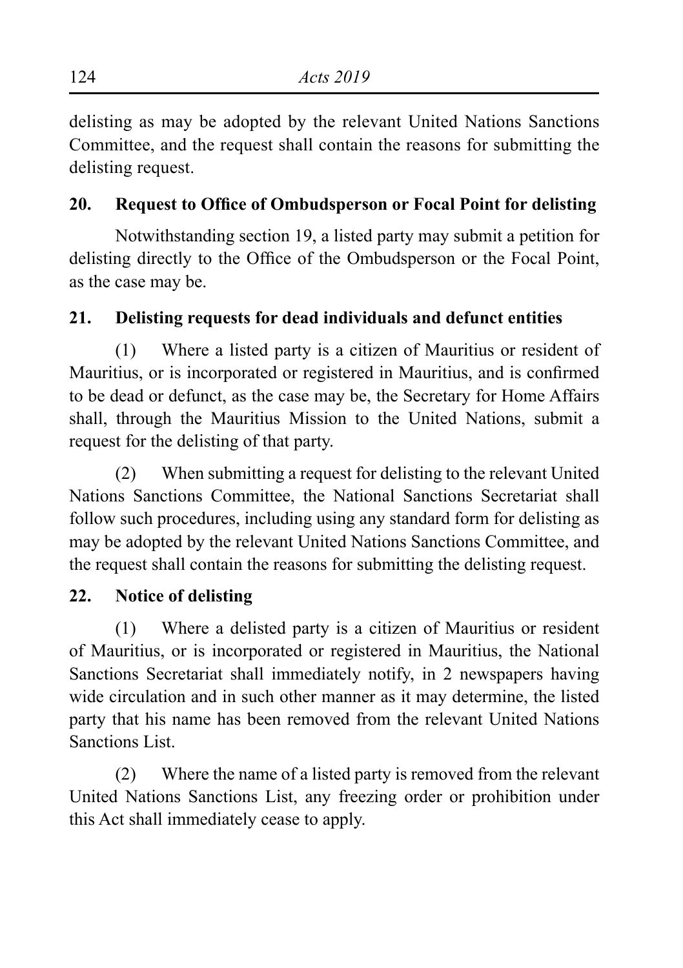delisting as may be adopted by the relevant United Nations Sanctions Committee, and the request shall contain the reasons for submitting the delisting request.

## **20. Request to Office of Ombudsperson or Focal Point for delisting**

Notwithstanding section 19, a listed party may submit a petition for delisting directly to the Office of the Ombudsperson or the Focal Point, as the case may be.

## **21. Delisting requests for dead individuals and defunct entities**

(1) Where a listed party is a citizen of Mauritius or resident of Mauritius, or is incorporated or registered in Mauritius, and is confirmed to be dead or defunct, as the case may be, the Secretary for Home Affairs shall, through the Mauritius Mission to the United Nations, submit a request for the delisting of that party.

(2) When submitting a request for delisting to the relevant United Nations Sanctions Committee, the National Sanctions Secretariat shall follow such procedures, including using any standard form for delisting as may be adopted by the relevant United Nations Sanctions Committee, and the request shall contain the reasons for submitting the delisting request.

## **22. Notice of delisting**

(1) Where a delisted party is a citizen of Mauritius or resident of Mauritius, or is incorporated or registered in Mauritius, the National Sanctions Secretariat shall immediately notify, in 2 newspapers having wide circulation and in such other manner as it may determine, the listed party that his name has been removed from the relevant United Nations Sanctions List.

(2) Where the name of a listed party is removed from the relevant United Nations Sanctions List, any freezing order or prohibition under this Act shall immediately cease to apply.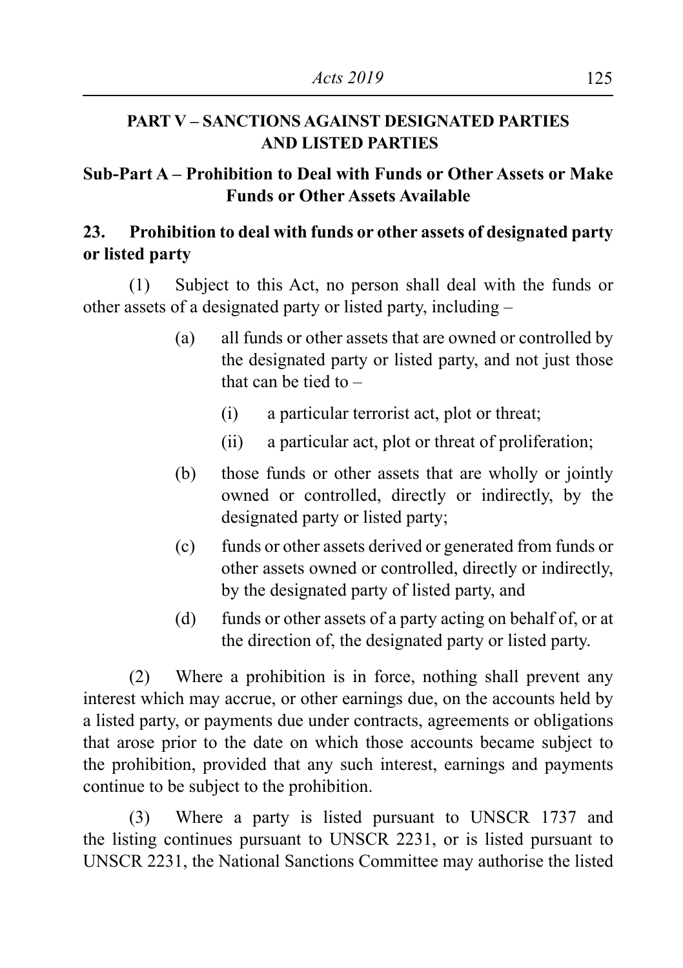#### **PART V – SANCTIONS AGAINST DESIGNATED PARTIES AND LISTED PARTIES**

### **Sub-Part A – Prohibition to Deal with Funds or Other Assets or Make Funds or Other Assets Available**

## **23. Prohibition to deal with funds or other assets of designated party or listed party**

 (1) Subject to this Act, no person shall deal with the funds or other assets of a designated party or listed party, including –

- (a) all funds or other assets that are owned or controlled by the designated party or listed party, and not just those that can be tied to –
	- (i) a particular terrorist act, plot or threat;
	- (ii) a particular act, plot or threat of proliferation;
- (b) those funds or other assets that are wholly or jointly owned or controlled, directly or indirectly, by the designated party or listed party;
- (c) funds or other assets derived or generated from funds or other assets owned or controlled, directly or indirectly, by the designated party of listed party, and
- (d) funds or other assets of a party acting on behalf of, or at the direction of, the designated party or listed party.

(2) Where a prohibition is in force, nothing shall prevent any interest which may accrue, or other earnings due, on the accounts held by a listed party, or payments due under contracts, agreements or obligations that arose prior to the date on which those accounts became subject to the prohibition, provided that any such interest, earnings and payments continue to be subject to the prohibition.

(3) Where a party is listed pursuant to UNSCR 1737 and the listing continues pursuant to UNSCR 2231, or is listed pursuant to UNSCR 2231, the National Sanctions Committee may authorise the listed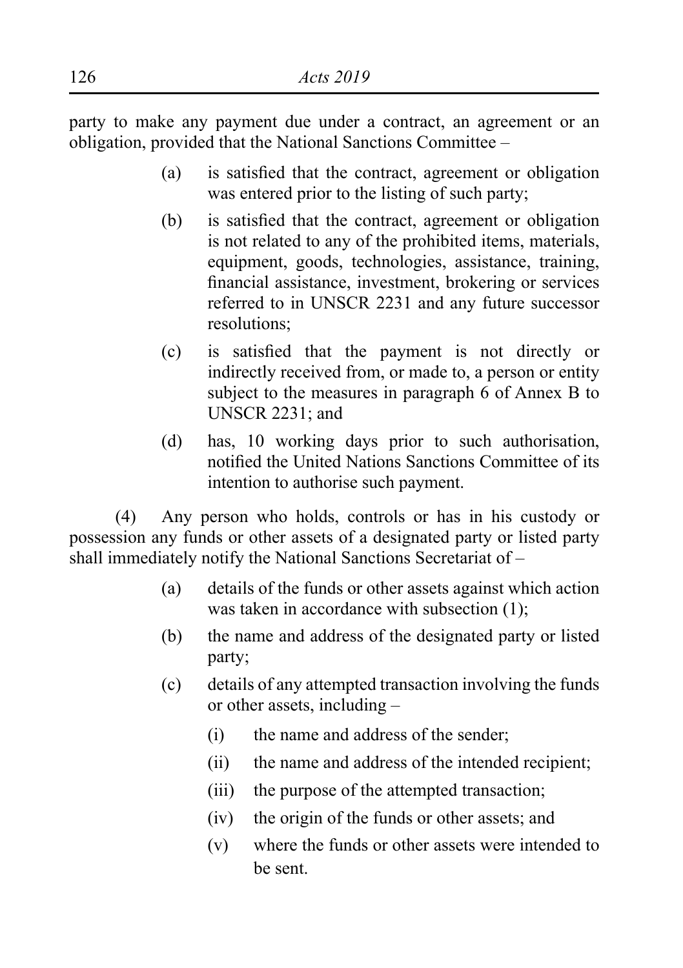party to make any payment due under a contract, an agreement or an obligation, provided that the National Sanctions Committee –

- (a) is satisfied that the contract, agreement or obligation was entered prior to the listing of such party;
- (b) is satisfied that the contract, agreement or obligation is not related to any of the prohibited items, materials, equipment, goods, technologies, assistance, training, financial assistance, investment, brokering or services referred to in UNSCR 2231 and any future successor resolutions;
- (c) is satisfied that the payment is not directly or indirectly received from, or made to, a person or entity subject to the measures in paragraph 6 of Annex B to UNSCR 2231; and
- (d) has, 10 working days prior to such authorisation, notified the United Nations Sanctions Committee of its intention to authorise such payment.

 (4) Any person who holds, controls or has in his custody or possession any funds or other assets of a designated party or listed party shall immediately notify the National Sanctions Secretariat of –

- (a) details of the funds or other assets against which action was taken in accordance with subsection  $(1)$ :
- (b) the name and address of the designated party or listed party;
- (c) details of any attempted transaction involving the funds or other assets, including –
	- (i) the name and address of the sender;
	- (ii) the name and address of the intended recipient;
	- (iii) the purpose of the attempted transaction;
	- (iv) the origin of the funds or other assets; and
	- (v) where the funds or other assets were intended to be sent.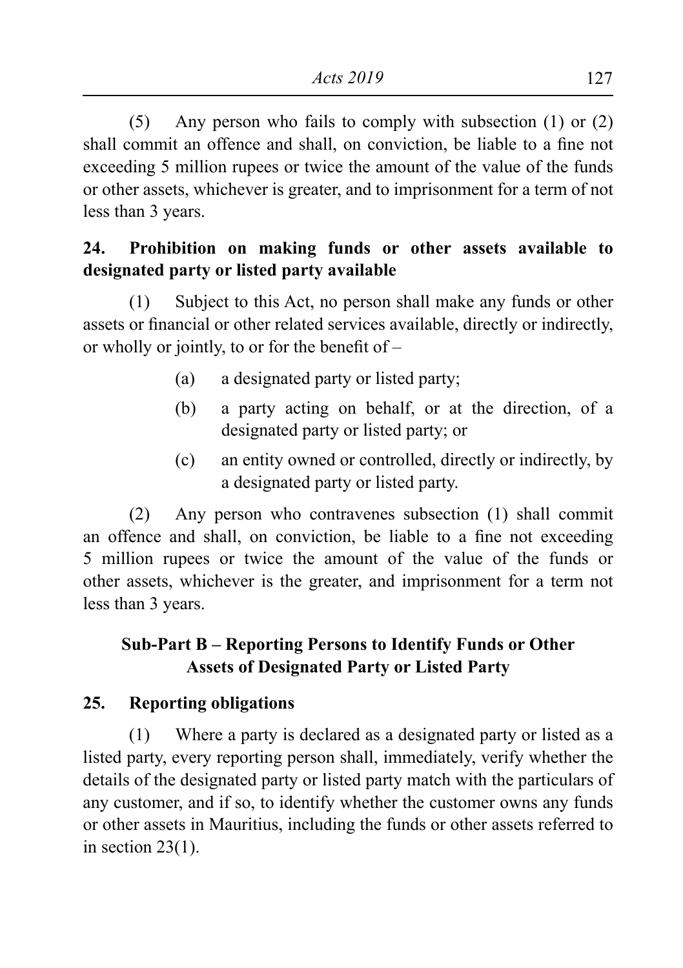(5) Any person who fails to comply with subsection (1) or (2) shall commit an offence and shall, on conviction, be liable to a fine not exceeding 5 million rupees or twice the amount of the value of the funds or other assets, whichever is greater, and to imprisonment for a term of not less than 3 years.

## **24. Prohibition on making funds or other assets available to designated party or listed party available**

 (1) Subject to this Act, no person shall make any funds or other assets or financial or other related services available, directly or indirectly, or wholly or jointly, to or for the benefit of  $-$ 

- (a) a designated party or listed party;
- (b) a party acting on behalf, or at the direction, of a designated party or listed party; or
- (c) an entity owned or controlled, directly or indirectly, by a designated party or listed party.

(2) Any person who contravenes subsection (1) shall commit an offence and shall, on conviction, be liable to a fine not exceeding 5 million rupees or twice the amount of the value of the funds or other assets, whichever is the greater, and imprisonment for a term not less than 3 years.

## **Sub-Part B – Reporting Persons to Identify Funds or Other Assets of Designated Party or Listed Party**

## **25. Reporting obligations**

(1) Where a party is declared as a designated party or listed as a listed party, every reporting person shall, immediately, verify whether the details of the designated party or listed party match with the particulars of any customer, and if so, to identify whether the customer owns any funds or other assets in Mauritius, including the funds or other assets referred to in section 23(1).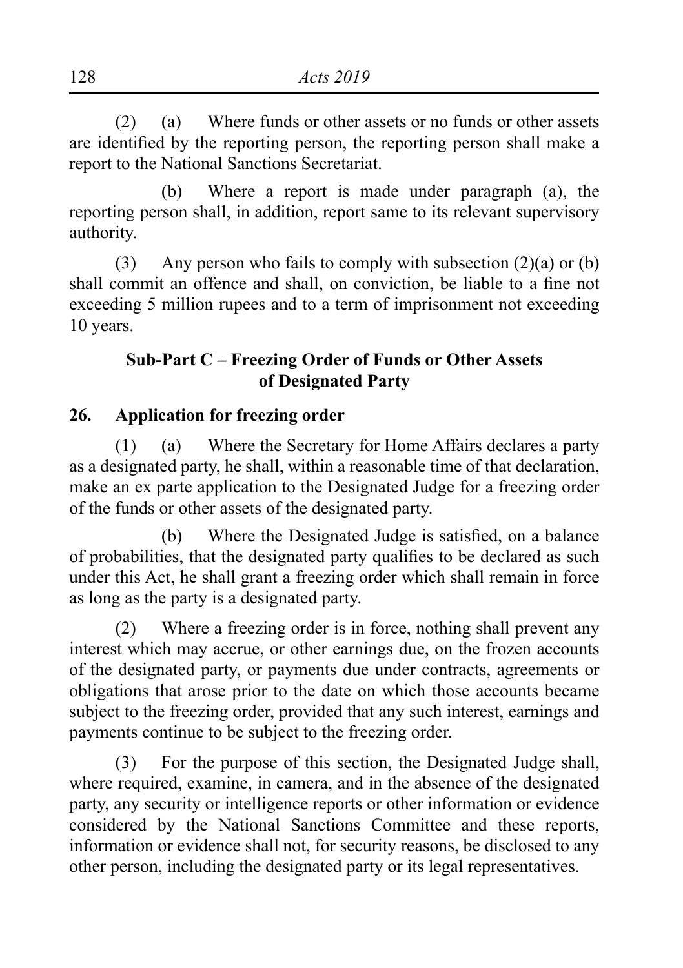(2) (a) Where funds or other assets or no funds or other assets are identified by the reporting person, the reporting person shall make a report to the National Sanctions Secretariat.

 (b) Where a report is made under paragraph (a), the reporting person shall, in addition, report same to its relevant supervisory authority.

(3) Any person who fails to comply with subsection (2)(a) or (b) shall commit an offence and shall, on conviction, be liable to a fine not exceeding 5 million rupees and to a term of imprisonment not exceeding 10 years.

#### **Sub-Part C – Freezing Order of Funds or Other Assets of Designated Party**

#### **26. Application for freezing order**

(1) (a) Where the Secretary for Home Affairs declares a party as a designated party, he shall, within a reasonable time of that declaration, make an ex parte application to the Designated Judge for a freezing order of the funds or other assets of the designated party.

(b) Where the Designated Judge is satisfied, on a balance of probabilities, that the designated party qualifies to be declared as such under this Act, he shall grant a freezing order which shall remain in force as long as the party is a designated party.

(2) Where a freezing order is in force, nothing shall prevent any interest which may accrue, or other earnings due, on the frozen accounts of the designated party, or payments due under contracts, agreements or obligations that arose prior to the date on which those accounts became subject to the freezing order, provided that any such interest, earnings and payments continue to be subject to the freezing order.

 (3) For the purpose of this section, the Designated Judge shall, where required, examine, in camera, and in the absence of the designated party, any security or intelligence reports or other information or evidence considered by the National Sanctions Committee and these reports, information or evidence shall not, for security reasons, be disclosed to any other person, including the designated party or its legal representatives.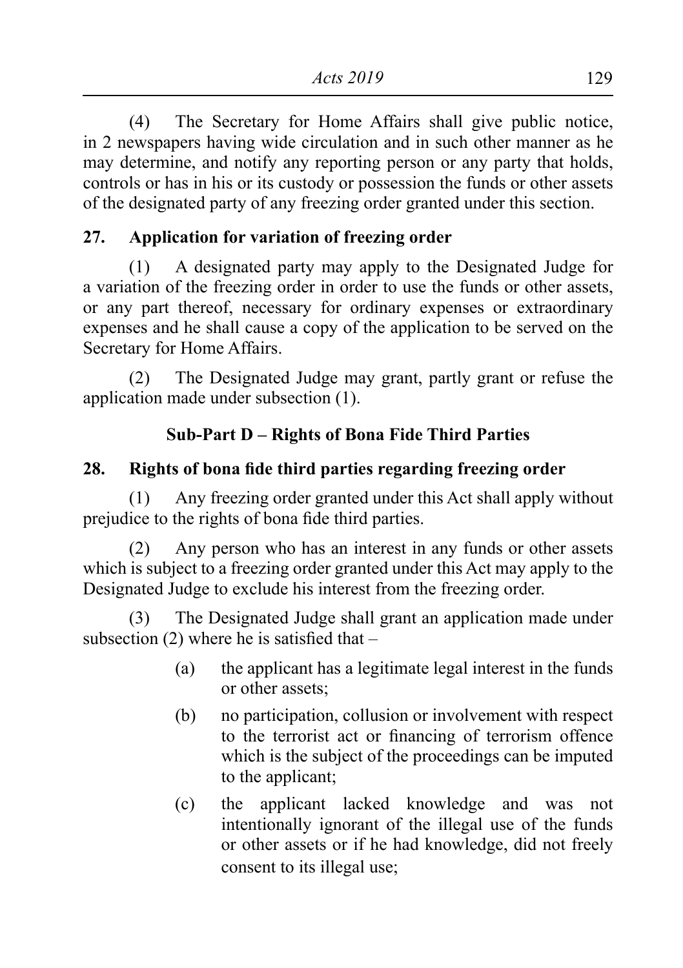(4) The Secretary for Home Affairs shall give public notice, in 2 newspapers having wide circulation and in such other manner as he may determine, and notify any reporting person or any party that holds, controls or has in his or its custody or possession the funds or other assets of the designated party of any freezing order granted under this section.

## **27. Application for variation of freezing order**

(1) A designated party may apply to the Designated Judge for a variation of the freezing order in order to use the funds or other assets, or any part thereof, necessary for ordinary expenses or extraordinary expenses and he shall cause a copy of the application to be served on the Secretary for Home Affairs.

 (2) The Designated Judge may grant, partly grant or refuse the application made under subsection (1).

## **Sub-Part D – Rights of Bona Fide Third Parties**

## **28. Rights of bona fide third parties regarding freezing order**

(1) Any freezing order granted under this Act shall apply without prejudice to the rights of bona fide third parties.

(2) Any person who has an interest in any funds or other assets which is subject to a freezing order granted under this Act may apply to the Designated Judge to exclude his interest from the freezing order.

(3) The Designated Judge shall grant an application made under subsection  $(2)$  where he is satisfied that  $-$ 

- (a) the applicant has a legitimate legal interest in the funds or other assets;
- (b) no participation, collusion or involvement with respect to the terrorist act or financing of terrorism offence which is the subject of the proceedings can be imputed to the applicant;
- (c) the applicant lacked knowledge and was not intentionally ignorant of the illegal use of the funds or other assets or if he had knowledge, did not freely consent to its illegal use;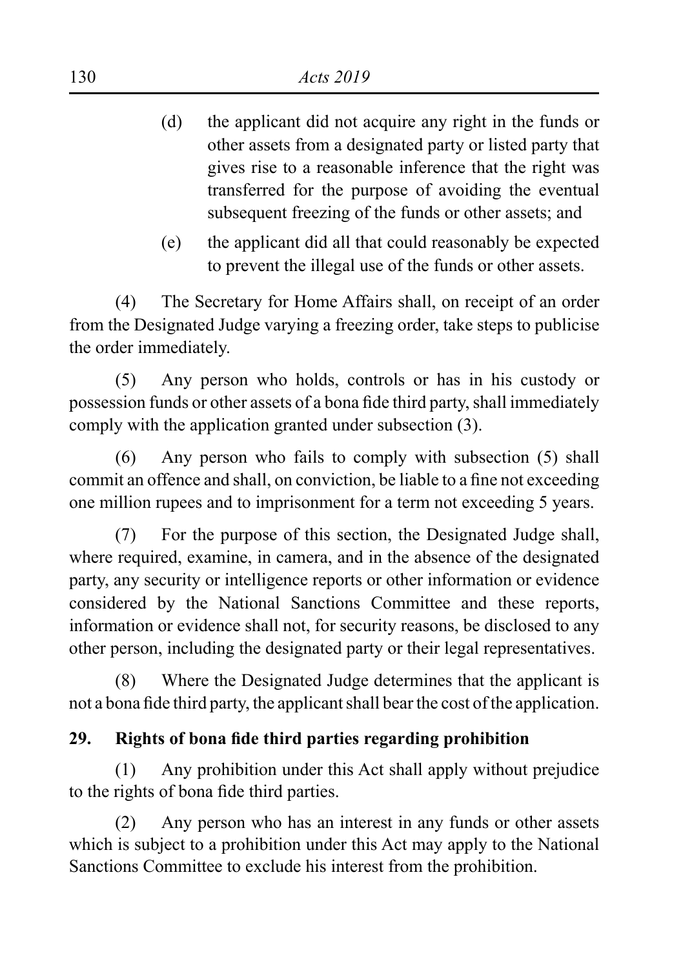- (d) the applicant did not acquire any right in the funds or other assets from a designated party or listed party that gives rise to a reasonable inference that the right was transferred for the purpose of avoiding the eventual subsequent freezing of the funds or other assets; and
- (e) the applicant did all that could reasonably be expected to prevent the illegal use of the funds or other assets.

 (4) The Secretary for Home Affairs shall, on receipt of an order from the Designated Judge varying a freezing order, take steps to publicise the order immediately.

(5) Any person who holds, controls or has in his custody or possession funds or other assets of a bona fide third party, shall immediately comply with the application granted under subsection (3).

(6) Any person who fails to comply with subsection (5) shall commit an offence and shall, on conviction, be liable to a fine not exceeding one million rupees and to imprisonment for a term not exceeding 5 years.

 (7) For the purpose of this section, the Designated Judge shall, where required, examine, in camera, and in the absence of the designated party, any security or intelligence reports or other information or evidence considered by the National Sanctions Committee and these reports, information or evidence shall not, for security reasons, be disclosed to any other person, including the designated party or their legal representatives.

(8) Where the Designated Judge determines that the applicant is not a bona fide third party, the applicant shall bear the cost of the application.

### **29. Rights of bona fide third parties regarding prohibition**

 (1) Any prohibition under this Act shall apply without prejudice to the rights of bona fide third parties.

(2) Any person who has an interest in any funds or other assets which is subject to a prohibition under this Act may apply to the National Sanctions Committee to exclude his interest from the prohibition.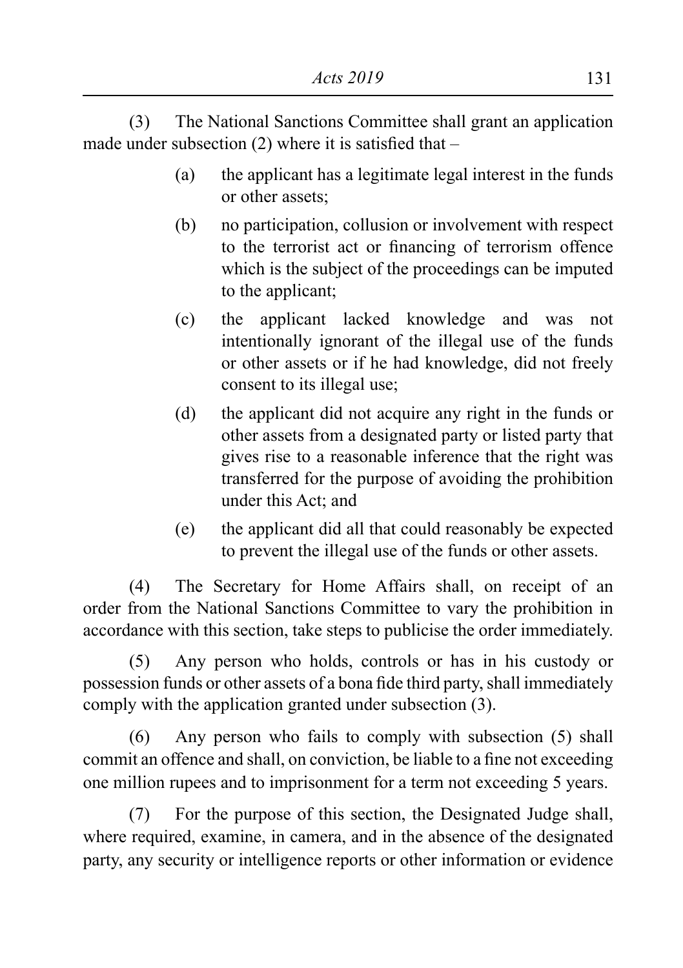(3) The National Sanctions Committee shall grant an application made under subsection  $(2)$  where it is satisfied that –

- (a) the applicant has a legitimate legal interest in the funds or other assets;
- (b) no participation, collusion or involvement with respect to the terrorist act or financing of terrorism offence which is the subject of the proceedings can be imputed to the applicant;
- (c) the applicant lacked knowledge and was not intentionally ignorant of the illegal use of the funds or other assets or if he had knowledge, did not freely consent to its illegal use;
- (d) the applicant did not acquire any right in the funds or other assets from a designated party or listed party that gives rise to a reasonable inference that the right was transferred for the purpose of avoiding the prohibition under this Act; and
- (e) the applicant did all that could reasonably be expected to prevent the illegal use of the funds or other assets.

 (4) The Secretary for Home Affairs shall, on receipt of an order from the National Sanctions Committee to vary the prohibition in accordance with this section, take steps to publicise the order immediately.

(5) Any person who holds, controls or has in his custody or possession funds or other assets of a bona fide third party, shall immediately comply with the application granted under subsection (3).

(6) Any person who fails to comply with subsection (5) shall commit an offence and shall, on conviction, be liable to a fine not exceeding one million rupees and to imprisonment for a term not exceeding 5 years.

 (7) For the purpose of this section, the Designated Judge shall, where required, examine, in camera, and in the absence of the designated party, any security or intelligence reports or other information or evidence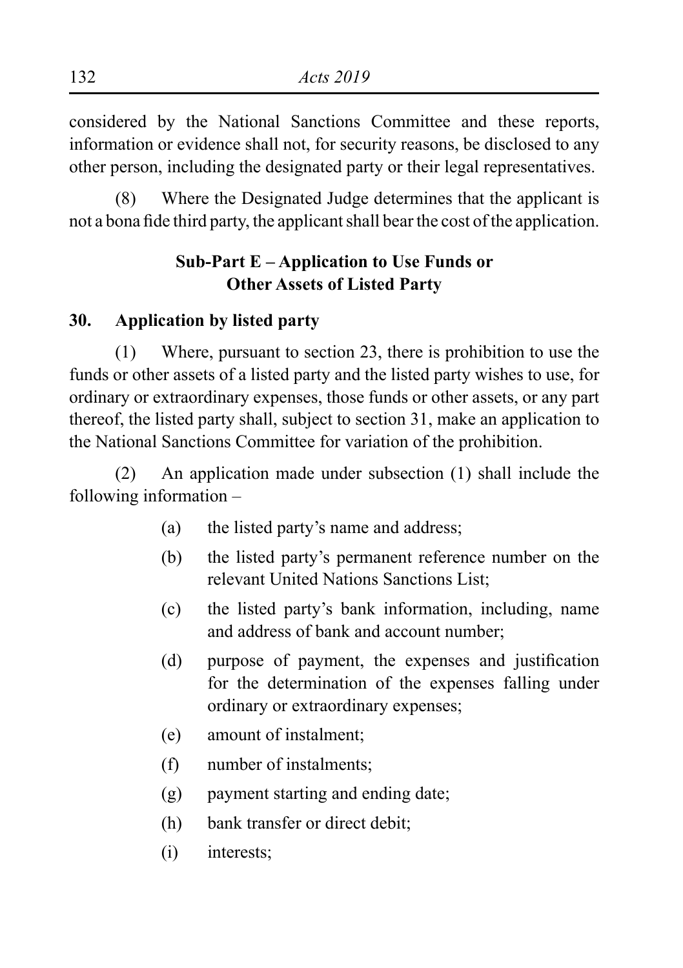considered by the National Sanctions Committee and these reports, information or evidence shall not, for security reasons, be disclosed to any other person, including the designated party or their legal representatives.

(8) Where the Designated Judge determines that the applicant is not a bona fide third party, the applicant shall bear the cost of the application.

## **Sub-Part E – Application to Use Funds or Other Assets of Listed Party**

#### **30. Application by listed party**

 $(1)$  Where, pursuant to section 23, there is prohibition to use the funds or other assets of a listed party and the listed party wishes to use, for ordinary or extraordinary expenses, those funds or other assets, or any part thereof, the listed party shall, subject to section 31, make an application to the National Sanctions Committee for variation of the prohibition.

(2) An application made under subsection (1) shall include the following information –

- (a) the listed party's name and address;
- (b) the listed party's permanent reference number on the relevant United Nations Sanctions List;
- (c) the listed party's bank information, including, name and address of bank and account number;
- (d) purpose of payment, the expenses and justification for the determination of the expenses falling under ordinary or extraordinary expenses;
- (e) amount of instalment;
- (f) number of instalments;
- (g) payment starting and ending date;
- (h) bank transfer or direct debit;
- (i) interests;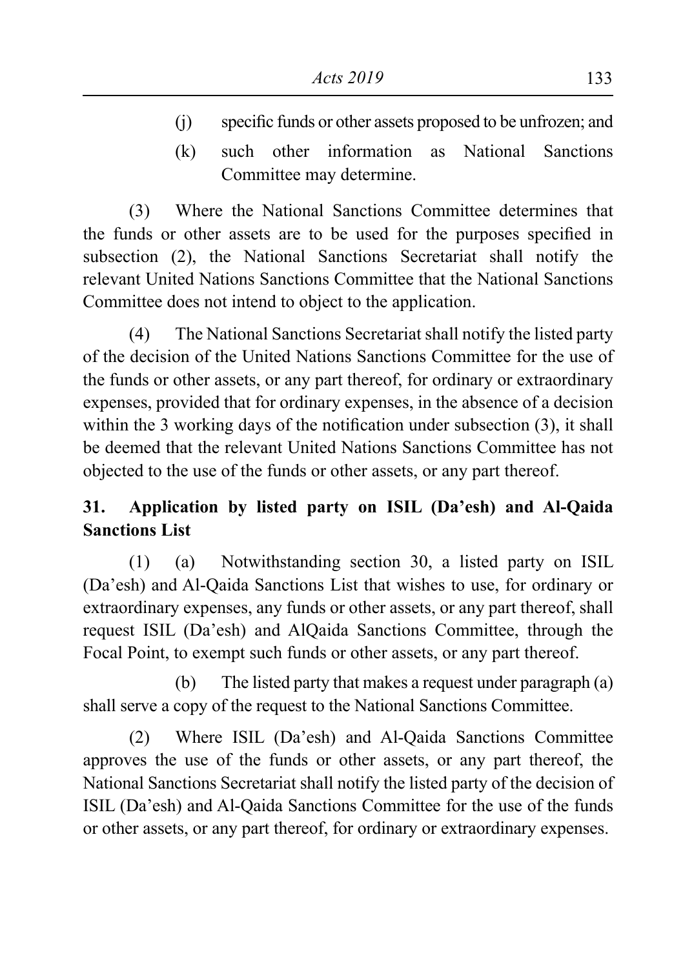- (j) specific funds or other assets proposed to be unfrozen; and
- (k) such other information as National Sanctions Committee may determine.

(3) Where the National Sanctions Committee determines that the funds or other assets are to be used for the purposes specified in subsection (2), the National Sanctions Secretariat shall notify the relevant United Nations Sanctions Committee that the National Sanctions Committee does not intend to object to the application.

(4) The National Sanctions Secretariat shall notify the listed party of the decision of the United Nations Sanctions Committee for the use of the funds or other assets, or any part thereof, for ordinary or extraordinary expenses, provided that for ordinary expenses, in the absence of a decision within the 3 working days of the notification under subsection (3), it shall be deemed that the relevant United Nations Sanctions Committee has not objected to the use of the funds or other assets, or any part thereof.

## **31. Application by listed party on ISIL (Da'esh) and Al-Qaida Sanctions List**

 (1) (a) Notwithstanding section 30, a listed party on ISIL (Da'esh) and Al-Qaida Sanctions List that wishes to use, for ordinary or extraordinary expenses, any funds or other assets, or any part thereof, shall request ISIL (Da'esh) and AlQaida Sanctions Committee, through the Focal Point, to exempt such funds or other assets, or any part thereof.

(b) The listed party that makes a request under paragraph  $(a)$ shall serve a copy of the request to the National Sanctions Committee.

(2) Where ISIL (Da'esh) and Al-Qaida Sanctions Committee approves the use of the funds or other assets, or any part thereof, the National Sanctions Secretariat shall notify the listed party of the decision of ISIL (Da'esh) and Al-Qaida Sanctions Committee for the use of the funds or other assets, or any part thereof, for ordinary or extraordinary expenses.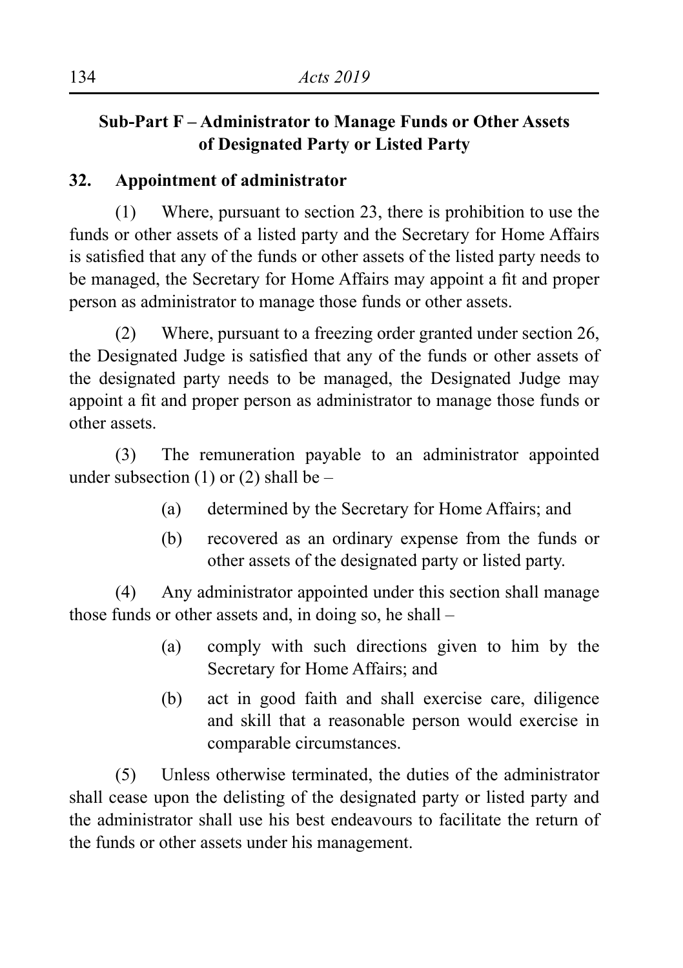## **Sub-Part F – Administrator to Manage Funds or Other Assets of Designated Party or Listed Party**

## **32. Appointment of administrator**

 $(1)$  Where, pursuant to section 23, there is prohibition to use the funds or other assets of a listed party and the Secretary for Home Affairs is satisfied that any of the funds or other assets of the listed party needs to be managed, the Secretary for Home Affairs may appoint a fit and proper person as administrator to manage those funds or other assets.

(2) Where, pursuant to a freezing order granted under section  $26$ , the Designated Judge is satisfied that any of the funds or other assets of the designated party needs to be managed, the Designated Judge may appoint a fit and proper person as administrator to manage those funds or other assets.

(3) The remuneration payable to an administrator appointed under subsection (1) or (2) shall be  $-$ 

- (a) determined by the Secretary for Home Affairs; and
- (b) recovered as an ordinary expense from the funds or other assets of the designated party or listed party.

(4) Any administrator appointed under this section shall manage those funds or other assets and, in doing so, he shall –

- (a) comply with such directions given to him by the Secretary for Home Affairs; and
- (b) act in good faith and shall exercise care, diligence and skill that a reasonable person would exercise in comparable circumstances.

 (5) Unless otherwise terminated, the duties of the administrator shall cease upon the delisting of the designated party or listed party and the administrator shall use his best endeavours to facilitate the return of the funds or other assets under his management.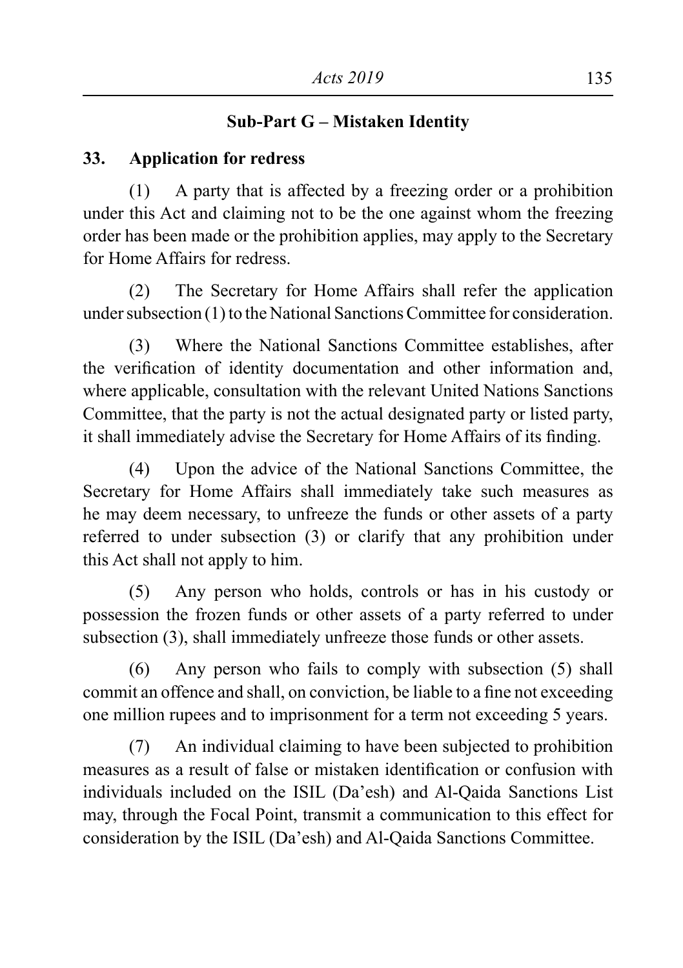#### **Sub-Part G – Mistaken Identity**

#### **33. Application for redress**

(1) A party that is affected by a freezing order or a prohibition under this Act and claiming not to be the one against whom the freezing order has been made or the prohibition applies, may apply to the Secretary for Home Affairs for redress.

(2) The Secretary for Home Affairs shall refer the application under subsection (1) to the National Sanctions Committee for consideration.

 (3) Where the National Sanctions Committee establishes, after the verification of identity documentation and other information and, where applicable, consultation with the relevant United Nations Sanctions Committee, that the party is not the actual designated party or listed party, it shall immediately advise the Secretary for Home Affairs of its finding.

(4) Upon the advice of the National Sanctions Committee, the Secretary for Home Affairs shall immediately take such measures as he may deem necessary, to unfreeze the funds or other assets of a party referred to under subsection (3) or clarify that any prohibition under this Act shall not apply to him.

 (5) Any person who holds, controls or has in his custody or possession the frozen funds or other assets of a party referred to under subsection (3), shall immediately unfreeze those funds or other assets.

(6) Any person who fails to comply with subsection (5) shall commit an offence and shall, on conviction, be liable to a fine not exceeding one million rupees and to imprisonment for a term not exceeding 5 years.

 (7) An individual claiming to have been subjected to prohibition measures as a result of false or mistaken identification or confusion with individuals included on the ISIL (Da'esh) and Al-Qaida Sanctions List may, through the Focal Point, transmit a communication to this effect for consideration by the ISIL (Da'esh) and Al-Qaida Sanctions Committee.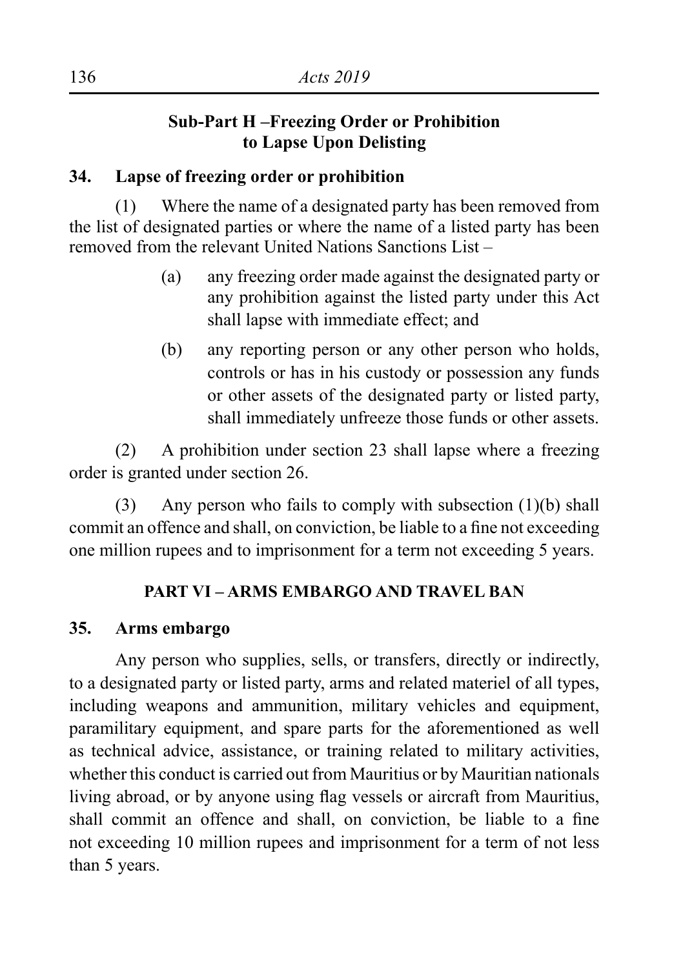#### **Sub-Part H –Freezing Order or Prohibition to Lapse Upon Delisting**

#### **34. Lapse of freezing order or prohibition**

(1) Where the name of a designated party has been removed from the list of designated parties or where the name of a listed party has been removed from the relevant United Nations Sanctions List –

- (a) any freezing order made against the designated party or any prohibition against the listed party under this Act shall lapse with immediate effect; and
- (b) any reporting person or any other person who holds, controls or has in his custody or possession any funds or other assets of the designated party or listed party, shall immediately unfreeze those funds or other assets.

(2) A prohibition under section 23 shall lapse where a freezing order is granted under section 26.

(3) Any person who fails to comply with subsection (1)(b) shall commit an offence and shall, on conviction, be liable to a fine not exceeding one million rupees and to imprisonment for a term not exceeding 5 years.

#### **PART VI – ARMS EMBARGO AND TRAVEL BAN**

#### **35. Arms embargo**

 Any person who supplies, sells, or transfers, directly or indirectly, to a designated party or listed party, arms and related materiel of all types, including weapons and ammunition, military vehicles and equipment, paramilitary equipment, and spare parts for the aforementioned as well as technical advice, assistance, or training related to military activities, whether this conduct is carried out from Mauritius or by Mauritian nationals living abroad, or by anyone using flag vessels or aircraft from Mauritius, shall commit an offence and shall, on conviction, be liable to a fine not exceeding 10 million rupees and imprisonment for a term of not less than 5 years.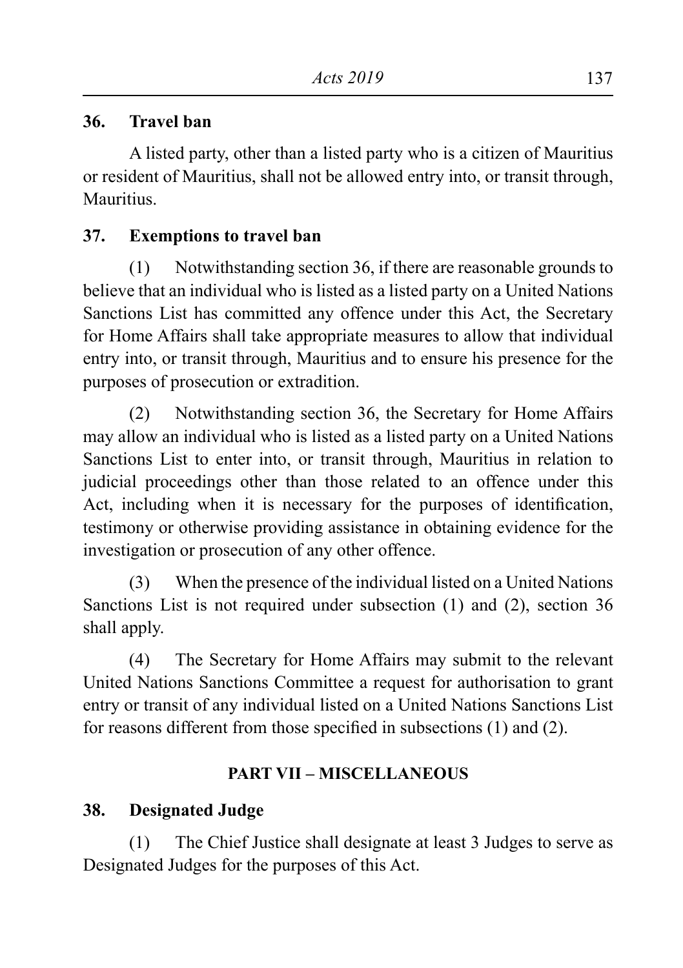#### **36. Travel ban**

A listed party, other than a listed party who is a citizen of Mauritius or resident of Mauritius, shall not be allowed entry into, or transit through, **Mauritius** 

## **37. Exemptions to travel ban**

 (1) Notwithstanding section 36, if there are reasonable grounds to believe that an individual who is listed as a listed party on a United Nations Sanctions List has committed any offence under this Act, the Secretary for Home Affairs shall take appropriate measures to allow that individual entry into, or transit through, Mauritius and to ensure his presence for the purposes of prosecution or extradition.

 (2) Notwithstanding section 36, the Secretary for Home Affairs may allow an individual who is listed as a listed party on a United Nations Sanctions List to enter into, or transit through, Mauritius in relation to judicial proceedings other than those related to an offence under this Act, including when it is necessary for the purposes of identification, testimony or otherwise providing assistance in obtaining evidence for the investigation or prosecution of any other offence.

(3) When the presence of the individual listed on a United Nations Sanctions List is not required under subsection (1) and (2), section 36 shall apply.

(4) The Secretary for Home Affairs may submit to the relevant United Nations Sanctions Committee a request for authorisation to grant entry or transit of any individual listed on a United Nations Sanctions List for reasons different from those specified in subsections (1) and (2).

## **PART VII – MISCELLANEOUS**

### **38. Designated Judge**

(1) The Chief Justice shall designate at least 3 Judges to serve as Designated Judges for the purposes of this Act.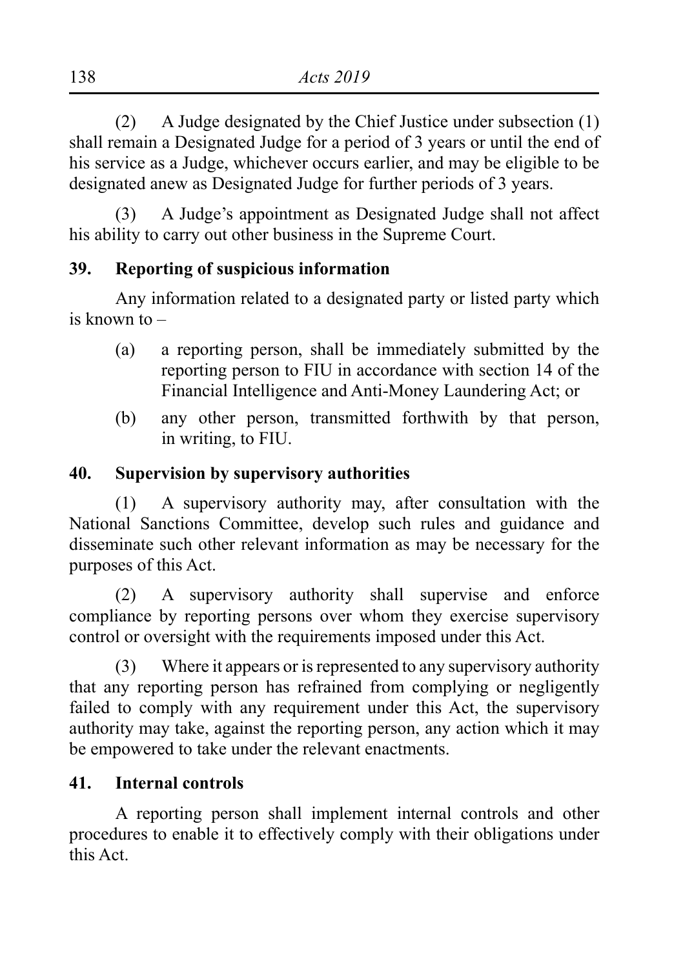(2) A Judge designated by the Chief Justice under subsection (1) shall remain a Designated Judge for a period of 3 years or until the end of his service as a Judge, whichever occurs earlier, and may be eligible to be designated anew as Designated Judge for further periods of 3 years.

(3) A Judge's appointment as Designated Judge shall not affect his ability to carry out other business in the Supreme Court.

## **39. Reporting of suspicious information**

Any information related to a designated party or listed party which is known to –

- (a) a reporting person, shall be immediately submitted by the reporting person to FIU in accordance with section 14 of the Financial Intelligence and Anti-Money Laundering Act; or
- (b) any other person, transmitted forthwith by that person, in writing, to FIU.

## **40. Supervision by supervisory authorities**

 (1) A supervisory authority may, after consultation with the National Sanctions Committee, develop such rules and guidance and disseminate such other relevant information as may be necessary for the purposes of this Act.

(2) A supervisory authority shall supervise and enforce compliance by reporting persons over whom they exercise supervisory control or oversight with the requirements imposed under this Act.

(3) Where it appears or is represented to any supervisory authority that any reporting person has refrained from complying or negligently failed to comply with any requirement under this Act, the supervisory authority may take, against the reporting person, any action which it may be empowered to take under the relevant enactments.

## **41. Internal controls**

A reporting person shall implement internal controls and other procedures to enable it to effectively comply with their obligations under this Act.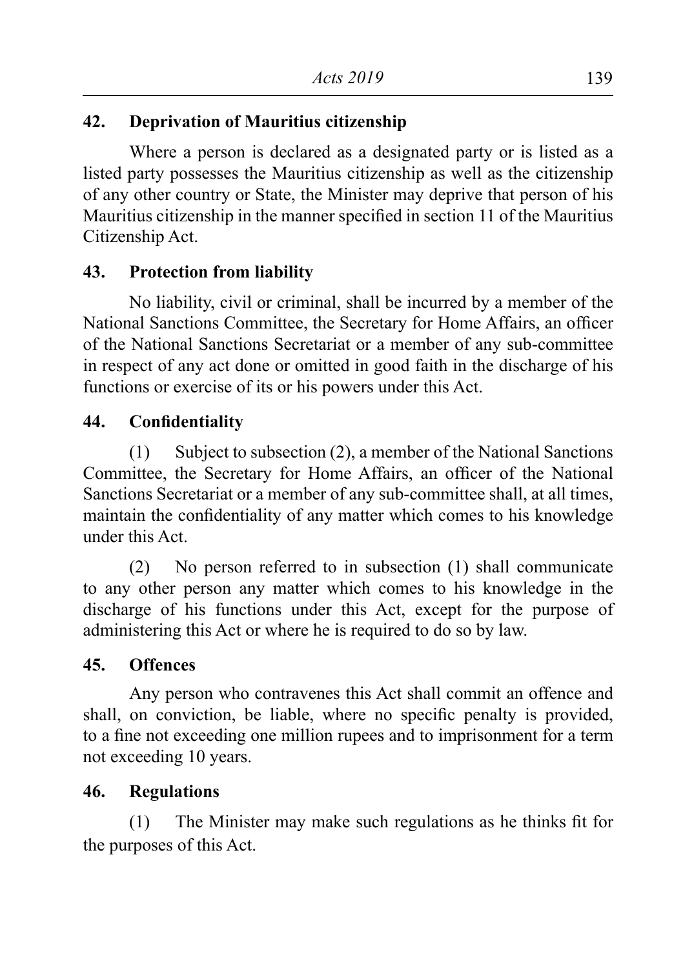## **42. Deprivation of Mauritius citizenship**

Where a person is declared as a designated party or is listed as a listed party possesses the Mauritius citizenship as well as the citizenship of any other country or State, the Minister may deprive that person of his Mauritius citizenship in the manner specified in section 11 of the Mauritius Citizenship Act.

## **43. Protection from liability**

 No liability, civil or criminal, shall be incurred by a member of the National Sanctions Committee, the Secretary for Home Affairs, an officer of the National Sanctions Secretariat or a member of any sub-committee in respect of any act done or omitted in good faith in the discharge of his functions or exercise of its or his powers under this Act.

## **44. Confidentiality**

(1) Subject to subsection  $(2)$ , a member of the National Sanctions Committee, the Secretary for Home Affairs, an officer of the National Sanctions Secretariat or a member of any sub-committee shall, at all times, maintain the confidentiality of any matter which comes to his knowledge under this Act.

(2) No person referred to in subsection (1) shall communicate to any other person any matter which comes to his knowledge in the discharge of his functions under this Act, except for the purpose of administering this Act or where he is required to do so by law.

## **45. Offences**

Any person who contravenes this Act shall commit an offence and shall, on conviction, be liable, where no specific penalty is provided, to a fine not exceeding one million rupees and to imprisonment for a term not exceeding 10 years.

## **46. Regulations**

(1) The Minister may make such regulations as he thinks fit for the purposes of this Act.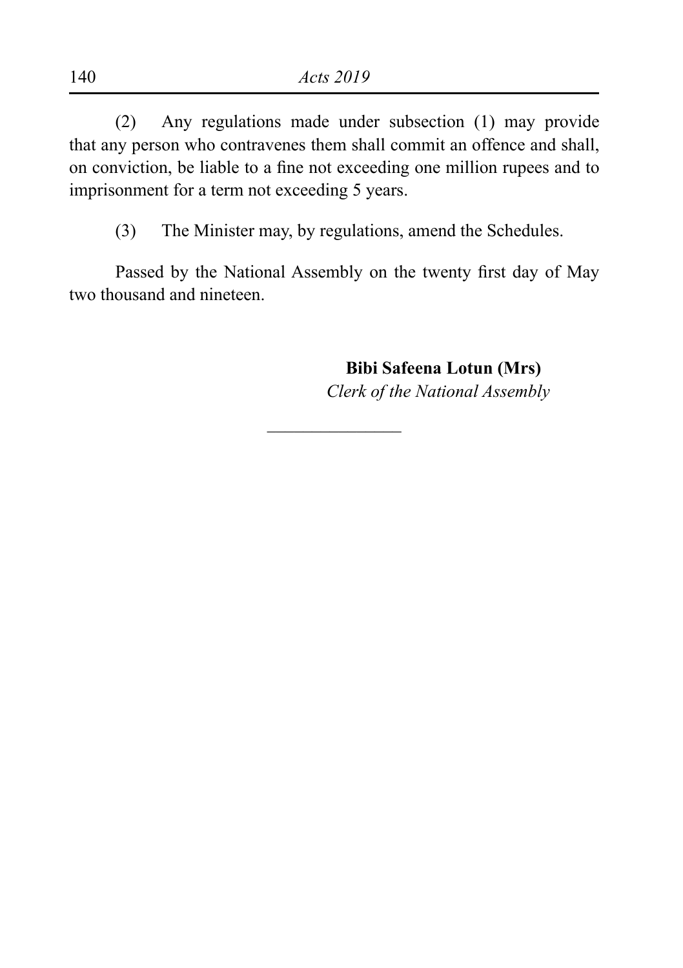(2) Any regulations made under subsection (1) may provide that any person who contravenes them shall commit an offence and shall, on conviction, be liable to a fine not exceeding one million rupees and to imprisonment for a term not exceeding 5 years.

 (3) The Minister may, by regulations, amend the Schedules.

Passed by the National Assembly on the twenty first day of May two thousand and nineteen.

 $\overline{\phantom{a}}$  , where  $\overline{\phantom{a}}$ 

 **Bibi Safeena Lotun (Mrs)** *Clerk of the National Assembly*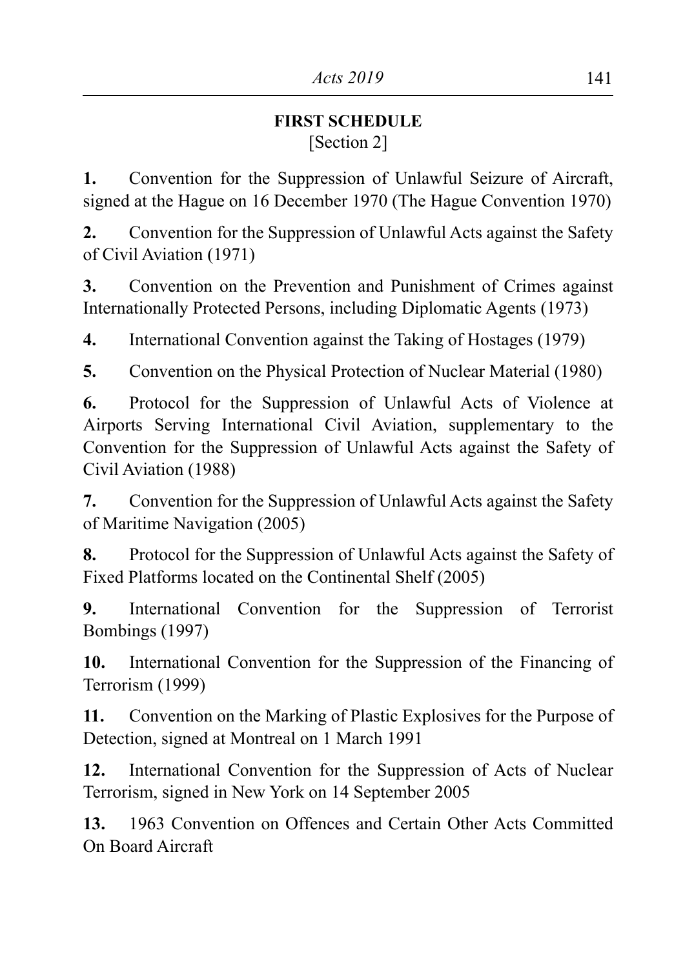### **FIRST SCHEDULE** [Section 2]

**1.** Convention for the Suppression of Unlawful Seizure of Aircraft, signed at the Hague on 16 December 1970 (The Hague Convention 1970)

**2.** Convention for the Suppression of Unlawful Acts against the Safety of Civil Aviation (1971)

**3.** Convention on the Prevention and Punishment of Crimes against Internationally Protected Persons, including Diplomatic Agents (1973)

**4.** International Convention against the Taking of Hostages (1979)

**5.** Convention on the Physical Protection of Nuclear Material (1980)

**6.** Protocol for the Suppression of Unlawful Acts of Violence at Airports Serving International Civil Aviation, supplementary to the Convention for the Suppression of Unlawful Acts against the Safety of Civil Aviation (1988)

**7.** Convention for the Suppression of Unlawful Acts against the Safety of Maritime Navigation (2005)

**8.** Protocol for the Suppression of Unlawful Acts against the Safety of Fixed Platforms located on the Continental Shelf (2005)

**9.** International Convention for the Suppression of Terrorist Bombings (1997)

**10.** International Convention for the Suppression of the Financing of Terrorism (1999)

**11.** Convention on the Marking of Plastic Explosives for the Purpose of Detection, signed at Montreal on 1 March 1991

**12.** International Convention for the Suppression of Acts of Nuclear Terrorism, signed in New York on 14 September 2005

**13.** 1963 Convention on Offences and Certain Other Acts Committed On Board Aircraft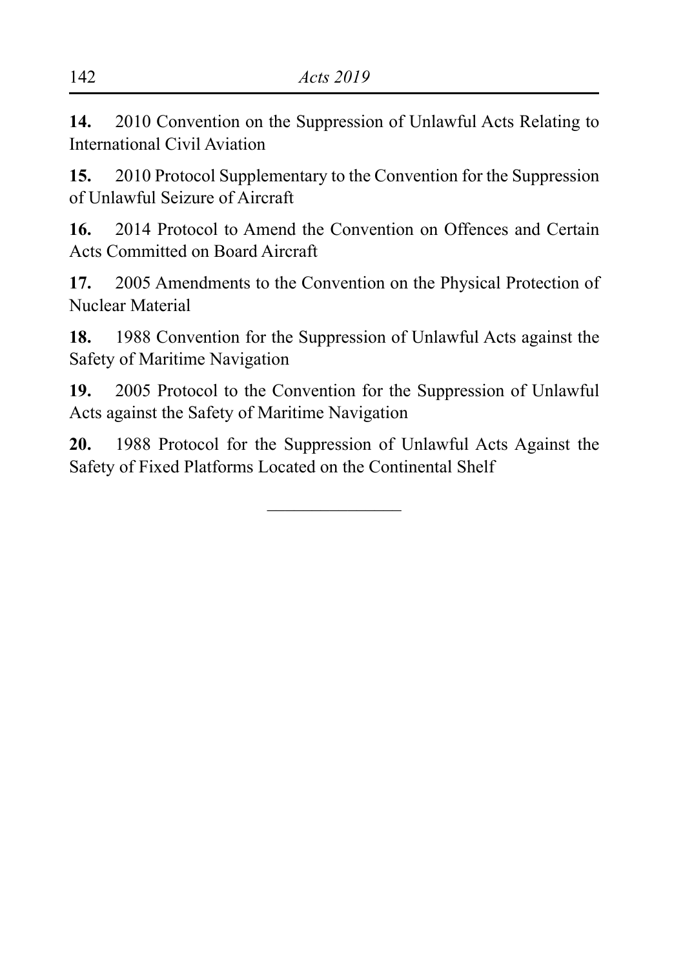**14.** 2010 Convention on the Suppression of Unlawful Acts Relating to International Civil Aviation

**15.** 2010 Protocol Supplementary to the Convention for the Suppression of Unlawful Seizure of Aircraft

**16.** 2014 Protocol to Amend the Convention on Offences and Certain Acts Committed on Board Aircraft

**17.** 2005 Amendments to the Convention on the Physical Protection of Nuclear Material

**18.** 1988 Convention for the Suppression of Unlawful Acts against the Safety of Maritime Navigation

**19.** 2005 Protocol to the Convention for the Suppression of Unlawful Acts against the Safety of Maritime Navigation

**20.** 1988 Protocol for the Suppression of Unlawful Acts Against the Safety of Fixed Platforms Located on the Continental Shelf

 $\overline{\phantom{a}}$  , where  $\overline{\phantom{a}}$